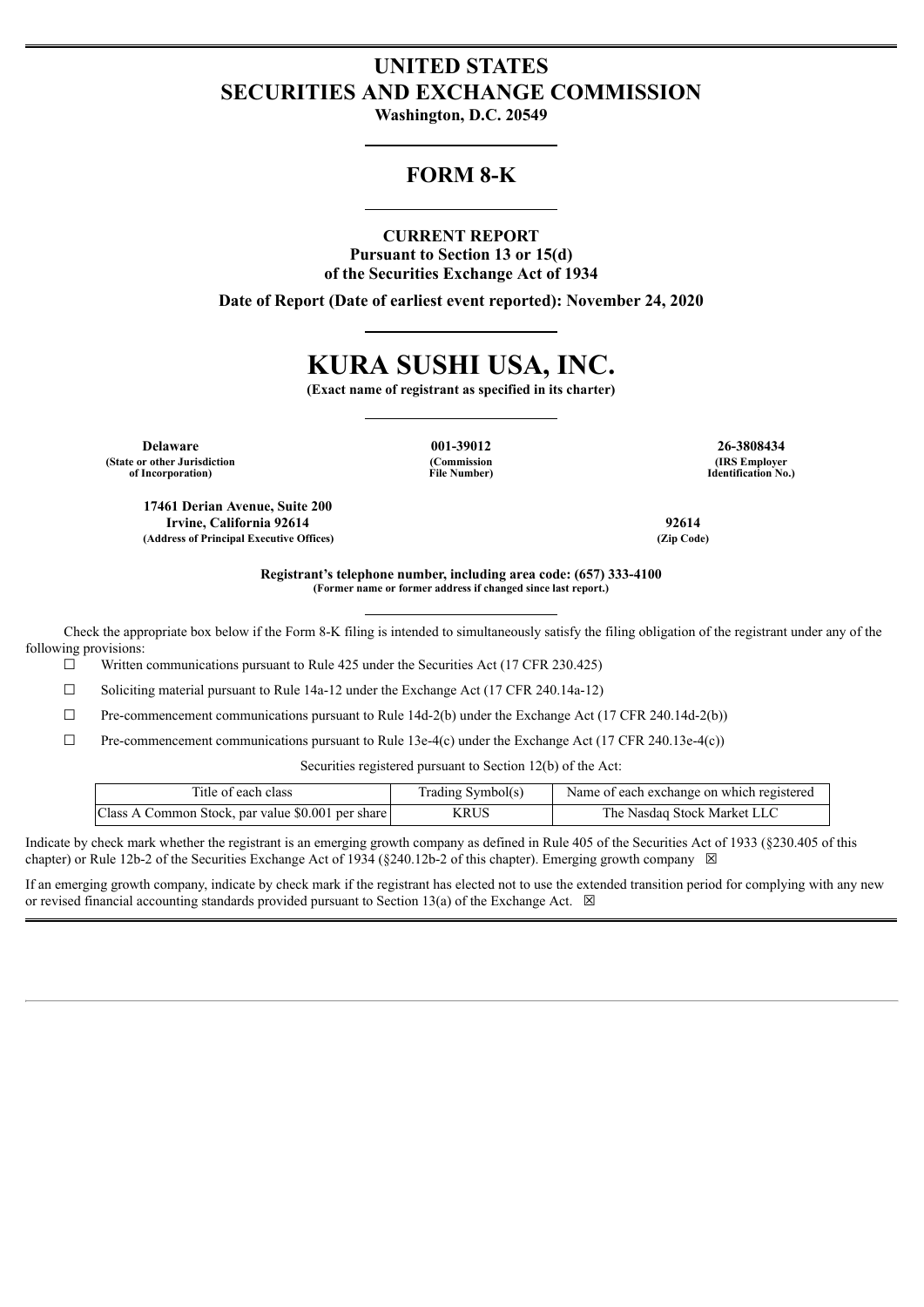# **UNITED STATES SECURITIES AND EXCHANGE COMMISSION**

**Washington, D.C. 20549**

# **FORM 8-K**

### **CURRENT REPORT**

**Pursuant to Section 13 or 15(d) of the Securities Exchange Act of 1934**

**Date of Report (Date of earliest event reported): November 24, 2020**

# **KURA SUSHI USA, INC.**

**(Exact name of registrant as specified in its charter)**

**Delaware 001-39012 26-3808434 (State or other Jurisdiction of Incorporation)**

**17461 Derian Avenue, Suite 200**

**(Commission File Number)**

**(IRS Employer Identification No.)**

**Irvine, California 92614 92614 (Address of Principal Executive Offices) (Zip Code)**

> **Registrant's telephone number, including area code: (657) 333-4100 (Former name or former address if changed since last report.)**

Check the appropriate box below if the Form 8-K filing is intended to simultaneously satisfy the filing obligation of the registrant under any of the following provisions:

 $\Box$  Written communications pursuant to Rule 425 under the Securities Act (17 CFR 230.425)

☐ Soliciting material pursuant to Rule 14a-12 under the Exchange Act (17 CFR 240.14a-12)

 $\Box$  Pre-commencement communications pursuant to Rule 14d-2(b) under the Exchange Act (17 CFR 240.14d-2(b))

 $\Box$  Pre-commencement communications pursuant to Rule 13e-4(c) under the Exchange Act (17 CFR 240.13e-4(c))

Securities registered pursuant to Section 12(b) of the Act:

| Title of each class                               | Trading Symbol(s) | Name of each exchange on which registered |
|---------------------------------------------------|-------------------|-------------------------------------------|
| Class A Common Stock, par value \$0.001 per share | KRUS              | The Nasdaq Stock Market LLC               |

Indicate by check mark whether the registrant is an emerging growth company as defined in Rule 405 of the Securities Act of 1933 (§230.405 of this chapter) or Rule 12b-2 of the Securities Exchange Act of 1934 (§240.12b-2 of this chapter). Emerging growth company  $\boxtimes$ 

If an emerging growth company, indicate by check mark if the registrant has elected not to use the extended transition period for complying with any new or revised financial accounting standards provided pursuant to Section 13(a) of the Exchange Act.  $\boxtimes$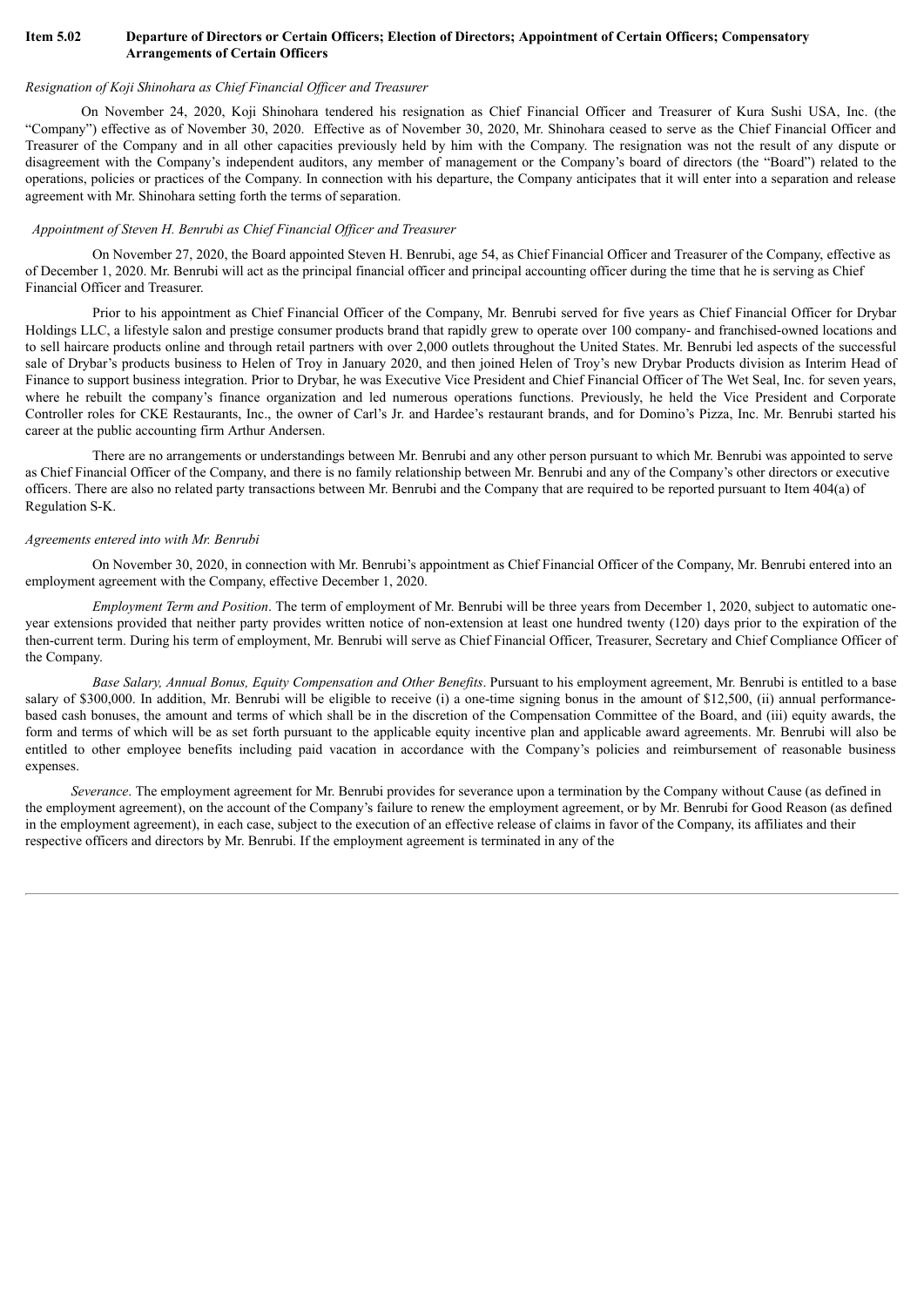#### Item 5.02 Departure of Directors or Certain Officers; Election of Directors; Appointment of Certain Officers; Compensatory **Arrangements of Certain Officers**

### *Resignation of Koji Shinohara as Chief Financial Of icer and Treasurer*

On November 24, 2020, Koji Shinohara tendered his resignation as Chief Financial Officer and Treasurer of Kura Sushi USA, Inc. (the "Company") effective as of November 30, 2020. Effective as of November 30, 2020, Mr. Shinohara ceased to serve as the Chief Financial Officer and Treasurer of the Company and in all other capacities previously held by him with the Company. The resignation was not the result of any dispute or disagreement with the Company's independent auditors, any member of management or the Company's board of directors (the "Board") related to the operations, policies or practices of the Company. In connection with his departure, the Company anticipates that it will enter into a separation and release agreement with Mr. Shinohara setting forth the terms of separation.

### *Appointment of Steven H. Benrubi as Chief Financial Of icer and Treasurer*

On November 27, 2020, the Board appointed Steven H. Benrubi, age 54, as Chief Financial Officer and Treasurer of the Company, effective as of December 1, 2020. Mr. Benrubi will act as the principal financial officer and principal accounting officer during the time that he is serving as Chief Financial Officer and Treasurer.

Prior to his appointment as Chief Financial Officer of the Company, Mr. Benrubi served for five years as Chief Financial Officer for Drybar Holdings LLC, a lifestyle salon and prestige consumer products brand that rapidly grew to operate over 100 company- and franchised-owned locations and to sell haircare products online and through retail partners with over 2,000 outlets throughout the United States. Mr. Benrubi led aspects of the successful sale of Drybar's products business to Helen of Troy in January 2020, and then joined Helen of Troy's new Drybar Products division as Interim Head of Finance to support business integration. Prior to Drybar, he was Executive Vice President and Chief Financial Officer of The Wet Seal, Inc. for seven years, where he rebuilt the company's finance organization and led numerous operations functions. Previously, he held the Vice President and Corporate Controller roles for CKE Restaurants, Inc., the owner of Carl's Jr. and Hardee's restaurant brands, and for Domino's Pizza, Inc. Mr. Benrubi started his career at the public accounting firm Arthur Andersen.

There are no arrangements or understandings between Mr. Benrubi and any other person pursuant to which Mr. Benrubi was appointed to serve as Chief Financial Officer of the Company, and there is no family relationship between Mr. Benrubi and any of the Company's other directors or executive officers. There are also no related party transactions between Mr. Benrubi and the Company that are required to be reported pursuant to Item 404(a) of Regulation S-K.

### *Agreements entered into with Mr. Benrubi*

On November 30, 2020, in connection with Mr. Benrubi's appointment as Chief Financial Officer of the Company, Mr. Benrubi entered into an employment agreement with the Company, effective December 1, 2020.

*Employment Term and Position*. The term of employment of Mr. Benrubi will be three years from December 1, 2020, subject to automatic oneyear extensions provided that neither party provides written notice of non-extension at least one hundred twenty (120) days prior to the expiration of the then-current term. During his term of employment, Mr. Benrubi will serve as Chief Financial Officer, Treasurer, Secretary and Chief Compliance Officer of the Company.

*Base Salary, Annual Bonus, Equity Compensation and Other Benefits*. Pursuant to his employment agreement, Mr. Benrubi is entitled to a base salary of \$300,000. In addition, Mr. Benrubi will be eligible to receive (i) a one-time signing bonus in the amount of \$12,500, (ii) annual performancebased cash bonuses, the amount and terms of which shall be in the discretion of the Compensation Committee of the Board, and (iii) equity awards, the form and terms of which will be as set forth pursuant to the applicable equity incentive plan and applicable award agreements. Mr. Benrubi will also be entitled to other employee benefits including paid vacation in accordance with the Company's policies and reimbursement of reasonable business expenses.

*Severance*. The employment agreement for Mr. Benrubi provides for severance upon a termination by the Company without Cause (as defined in the employment agreement), on the account of the Company's failure to renew the employment agreement, or by Mr. Benrubi for Good Reason (as defined in the employment agreement), in each case, subject to the execution of an effective release of claims in favor of the Company, its affiliates and their respective officers and directors by Mr. Benrubi. If the employment agreement is terminated in any of the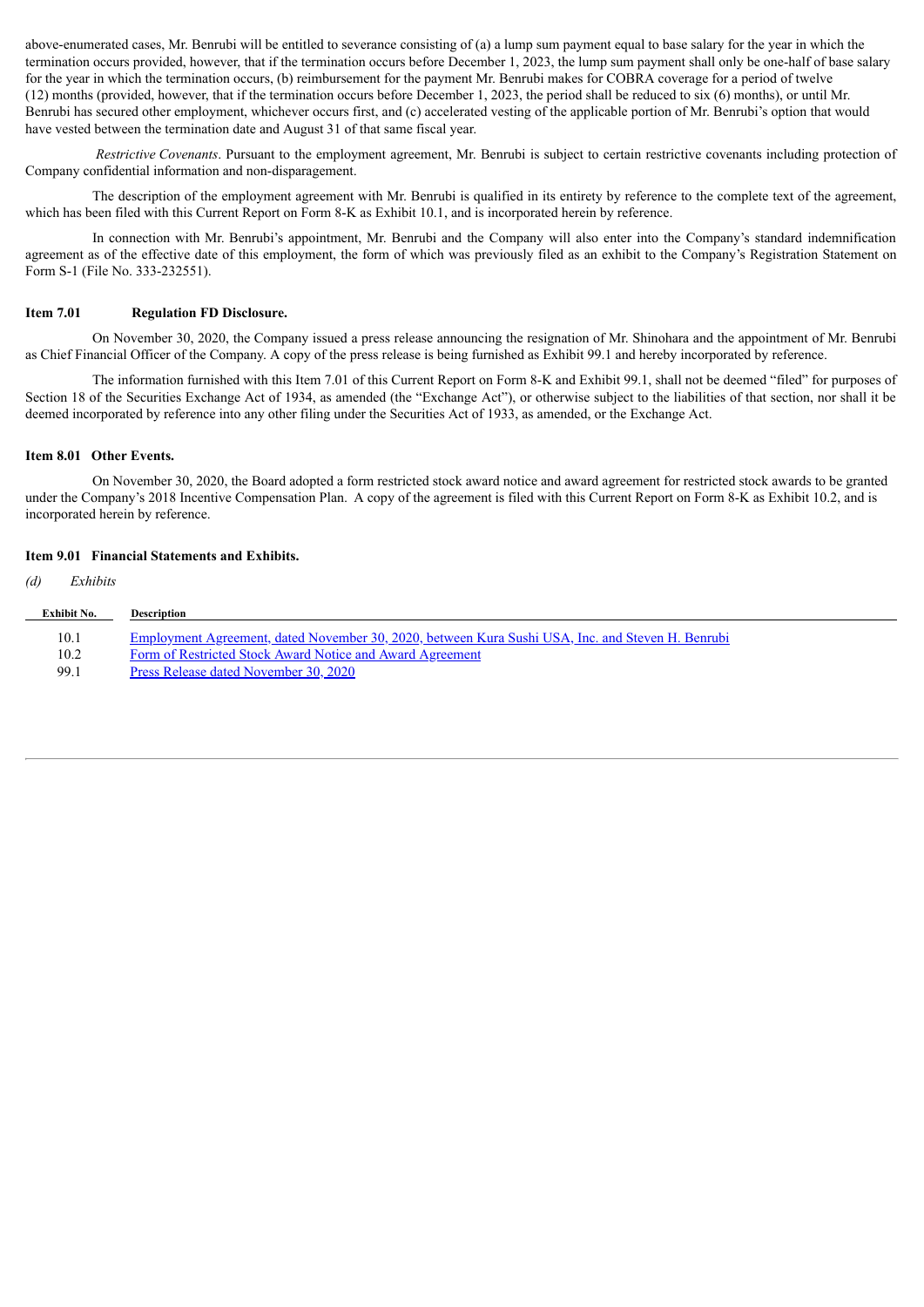above-enumerated cases, Mr. Benrubi will be entitled to severance consisting of (a) a lump sum payment equal to base salary for the year in which the termination occurs provided, however, that if the termination occurs before December 1, 2023, the lump sum payment shall only be one-half of base salary for the year in which the termination occurs, (b) reimbursement for the payment Mr. Benrubi makes for COBRA coverage for a period of twelve (12) months (provided, however, that if the termination occurs before December 1, 2023, the period shall be reduced to six (6) months), or until Mr. Benrubi has secured other employment, whichever occurs first, and (c) accelerated vesting of the applicable portion of Mr. Benrubi's option that would have vested between the termination date and August 31 of that same fiscal year.

*Restrictive Covenants*. Pursuant to the employment agreement, Mr. Benrubi is subject to certain restrictive covenants including protection of Company confidential information and non-disparagement.

The description of the employment agreement with Mr. Benrubi is qualified in its entirety by reference to the complete text of the agreement, which has been filed with this Current Report on Form 8-K as Exhibit 10.1, and is incorporated herein by reference.

In connection with Mr. Benrubi's appointment, Mr. Benrubi and the Company will also enter into the Company's standard indemnification agreement as of the effective date of this employment, the form of which was previously filed as an exhibit to the Company's Registration Statement on Form S-1 (File No. 333-232551).

#### **Item 7.01 Regulation FD Disclosure.**

On November 30, 2020, the Company issued a press release announcing the resignation of Mr. Shinohara and the appointment of Mr. Benrubi as Chief Financial Officer of the Company. A copy of the press release is being furnished as Exhibit 99.1 and hereby incorporated by reference.

The information furnished with this Item 7.01 of this Current Report on Form 8-K and Exhibit 99.1, shall not be deemed "filed" for purposes of Section 18 of the Securities Exchange Act of 1934, as amended (the "Exchange Act"), or otherwise subject to the liabilities of that section, nor shall it be deemed incorporated by reference into any other filing under the Securities Act of 1933, as amended, or the Exchange Act.

#### **Item 8.01 Other Events.**

On November 30, 2020, the Board adopted a form restricted stock award notice and award agreement for restricted stock awards to be granted under the Company's 2018 Incentive Compensation Plan. A copy of the agreement is filed with this Current Report on Form 8-K as Exhibit 10.2, and is incorporated herein by reference.

#### **Item 9.01 Financial Statements and Exhibits.**

| (d) | Exhibits           |                                                                                                          |
|-----|--------------------|----------------------------------------------------------------------------------------------------------|
|     | <b>Exhibit No.</b> | <b>Description</b>                                                                                       |
|     | 10.1               | <u>Employment Agreement, dated November 30, 2020, between Kura Sushi USA, Inc. and Steven H. Benrubi</u> |
|     | 10.2               | Form of Restricted Stock Award Notice and Award Agreement                                                |
|     | 99.1               | Press Release dated November 30, 2020                                                                    |
|     |                    |                                                                                                          |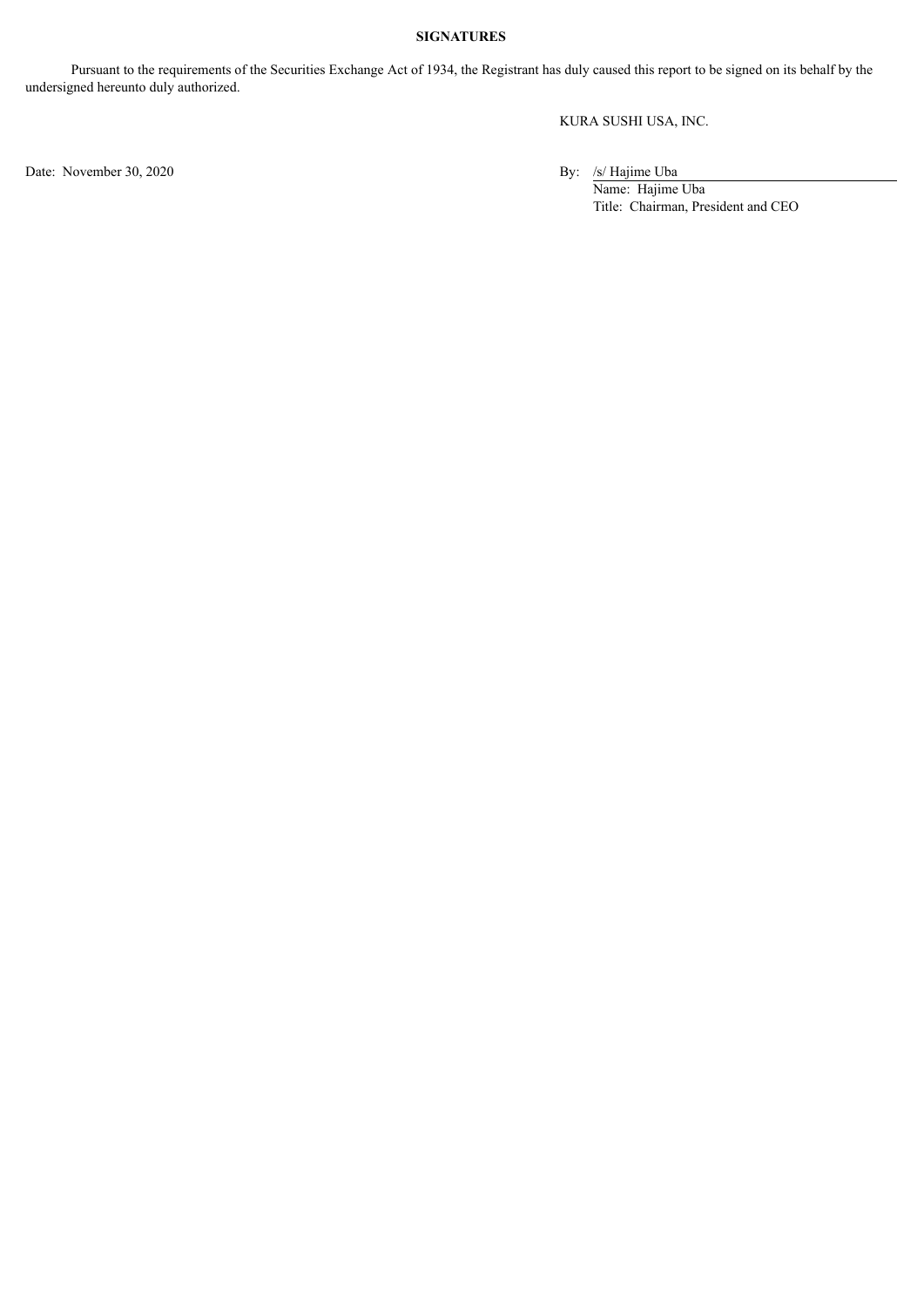### **SIGNATURES**

Pursuant to the requirements of the Securities Exchange Act of 1934, the Registrant has duly caused this report to be signed on its behalf by the undersigned hereunto duly authorized.

KURA SUSHI USA, INC.

Date: November 30, 2020 By: /s/ Hajime Uba

Name: Hajime Uba Title: Chairman, President and CEO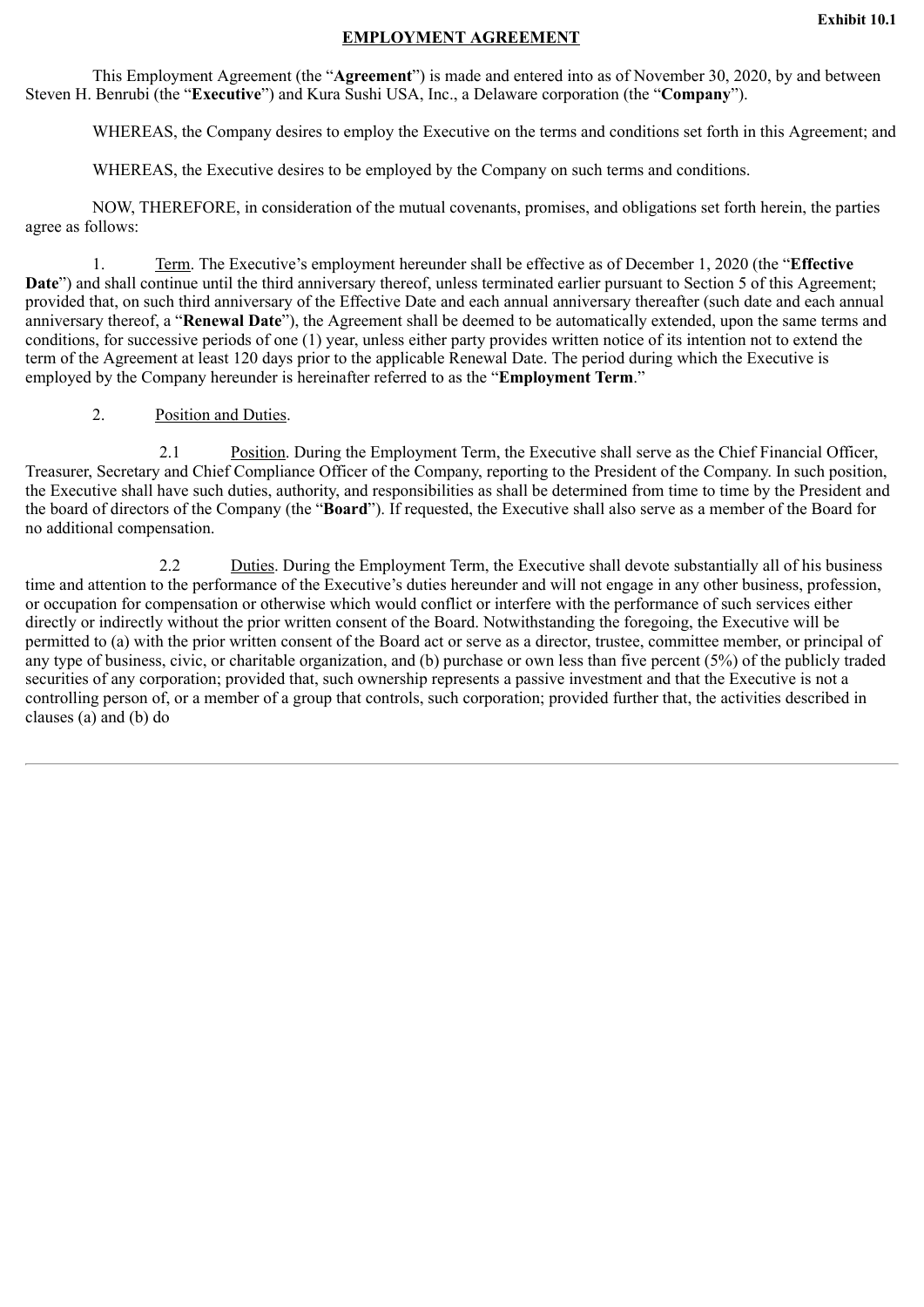### **EMPLOYMENT AGREEMENT**

<span id="page-4-0"></span>This Employment Agreement (the "**Agreement**") is made and entered into as of November 30, 2020, by and between Steven H. Benrubi (the "**Executive**") and Kura Sushi USA, Inc., a Delaware corporation (the "**Company**").

WHEREAS, the Company desires to employ the Executive on the terms and conditions set forth in this Agreement; and

WHEREAS, the Executive desires to be employed by the Company on such terms and conditions.

NOW, THEREFORE, in consideration of the mutual covenants, promises, and obligations set forth herein, the parties agree as follows:

1. Term. The Executive's employment hereunder shall be effective as of December 1, 2020 (the "**Effective Date**") and shall continue until the third anniversary thereof, unless terminated earlier pursuant to Section 5 of this Agreement; provided that, on such third anniversary of the Effective Date and each annual anniversary thereafter (such date and each annual anniversary thereof, a "**Renewal Date**"), the Agreement shall be deemed to be automatically extended, upon the same terms and conditions, for successive periods of one (1) year, unless either party provides written notice of its intention not to extend the term of the Agreement at least 120 days prior to the applicable Renewal Date. The period during which the Executive is employed by the Company hereunder is hereinafter referred to as the "**Employment Term**."

2. Position and Duties.

2.1 Position. During the Employment Term, the Executive shall serve as the Chief Financial Officer, Treasurer, Secretary and Chief Compliance Officer of the Company, reporting to the President of the Company. In such position, the Executive shall have such duties, authority, and responsibilities as shall be determined from time to time by the President and the board of directors of the Company (the "**Board**"). If requested, the Executive shall also serve as a member of the Board for no additional compensation.

2.2 Duties. During the Employment Term, the Executive shall devote substantially all of his business time and attention to the performance of the Executive's duties hereunder and will not engage in any other business, profession, or occupation for compensation or otherwise which would conflict or interfere with the performance of such services either directly or indirectly without the prior written consent of the Board. Notwithstanding the foregoing, the Executive will be permitted to (a) with the prior written consent of the Board act or serve as a director, trustee, committee member, or principal of any type of business, civic, or charitable organization, and (b) purchase or own less than five percent (5%) of the publicly traded securities of any corporation; provided that, such ownership represents a passive investment and that the Executive is not a controlling person of, or a member of a group that controls, such corporation; provided further that, the activities described in clauses (a) and (b) do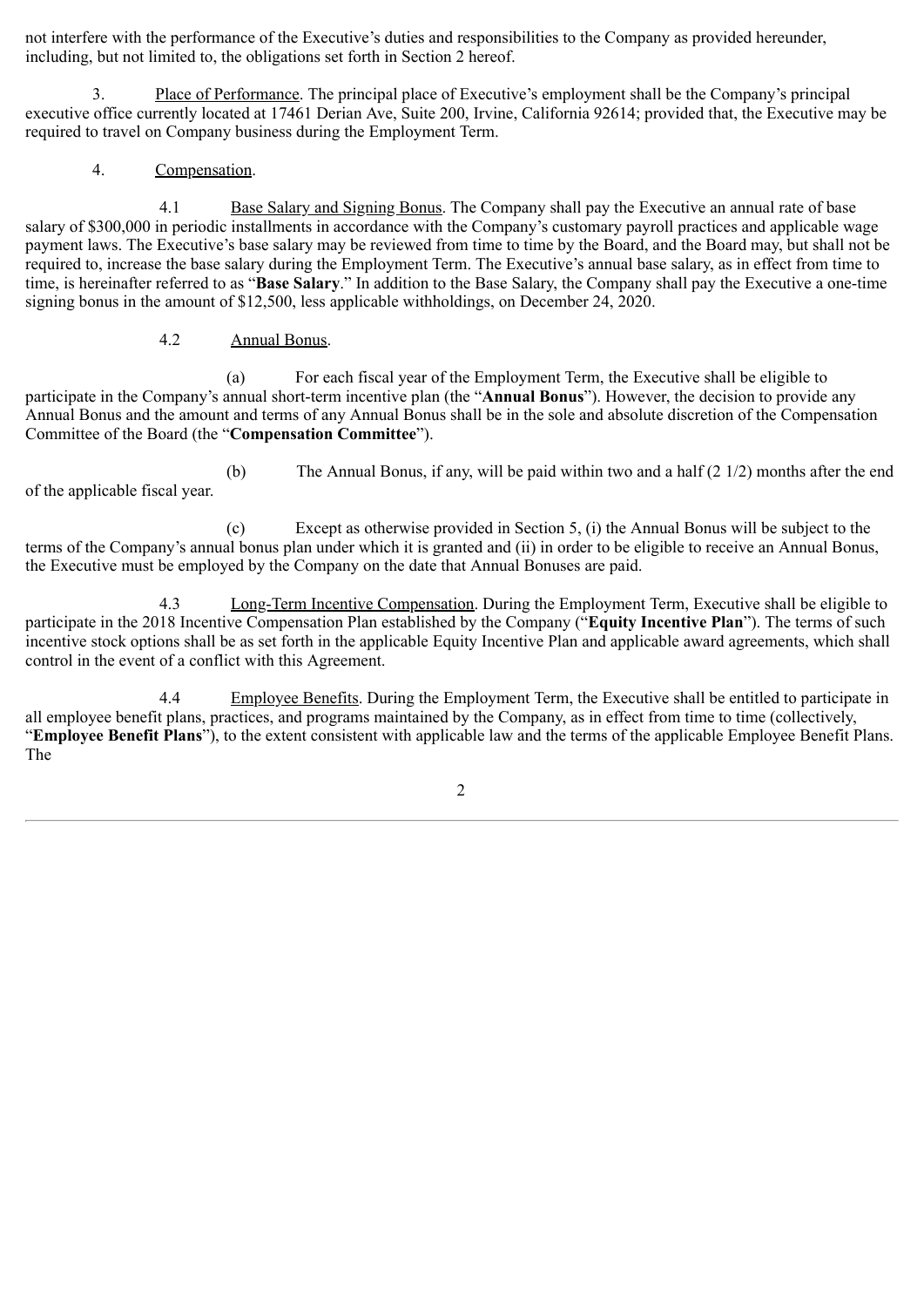not interfere with the performance of the Executive's duties and responsibilities to the Company as provided hereunder, including, but not limited to, the obligations set forth in Section 2 hereof.

3. Place of Performance. The principal place of Executive's employment shall be the Company's principal executive office currently located at 17461 Derian Ave, Suite 200, Irvine, California 92614; provided that, the Executive may be required to travel on Company business during the Employment Term.

4. Compensation.

4.1 Base Salary and Signing Bonus. The Company shall pay the Executive an annual rate of base salary of \$300,000 in periodic installments in accordance with the Company's customary payroll practices and applicable wage payment laws. The Executive's base salary may be reviewed from time to time by the Board, and the Board may, but shall not be required to, increase the base salary during the Employment Term. The Executive's annual base salary, as in effect from time to time, is hereinafter referred to as "**Base Salary**." In addition to the Base Salary, the Company shall pay the Executive a one-time signing bonus in the amount of \$12,500, less applicable withholdings, on December 24, 2020.

### 4.2 Annual Bonus.

(a) For each fiscal year of the Employment Term, the Executive shall be eligible to participate in the Company's annual short-term incentive plan (the "**Annual Bonus**"). However, the decision to provide any Annual Bonus and the amount and terms of any Annual Bonus shall be in the sole and absolute discretion of the Compensation Committee of the Board (the "**Compensation Committee**").

(b) The Annual Bonus, if any, will be paid within two and a half (2 1/2) months after the end of the applicable fiscal year.

(c) Except as otherwise provided in Section 5, (i) the Annual Bonus will be subject to the terms of the Company's annual bonus plan under which it is granted and (ii) in order to be eligible to receive an Annual Bonus, the Executive must be employed by the Company on the date that Annual Bonuses are paid.

4.3 Long-Term Incentive Compensation. During the Employment Term, Executive shall be eligible to participate in the 2018 Incentive Compensation Plan established by the Company ("**Equity Incentive Plan**"). The terms of such incentive stock options shall be as set forth in the applicable Equity Incentive Plan and applicable award agreements, which shall control in the event of a conflict with this Agreement.

4.4 Employee Benefits. During the Employment Term, the Executive shall be entitled to participate in all employee benefit plans, practices, and programs maintained by the Company, as in effect from time to time (collectively, "**Employee Benefit Plans**"), to the extent consistent with applicable law and the terms of the applicable Employee Benefit Plans. The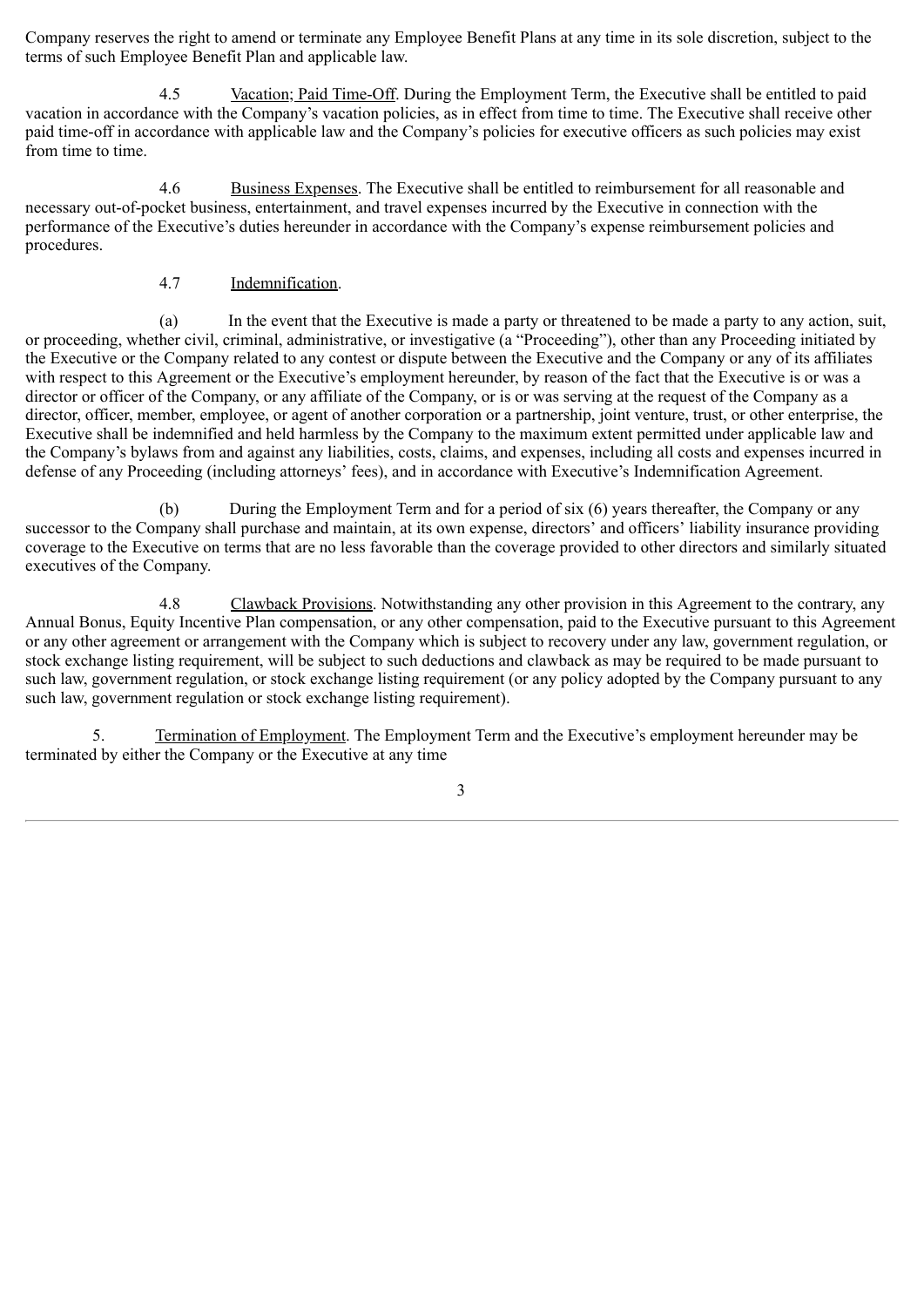Company reserves the right to amend or terminate any Employee Benefit Plans at any time in its sole discretion, subject to the terms of such Employee Benefit Plan and applicable law.

4.5 Vacation; Paid Time-Off. During the Employment Term, the Executive shall be entitled to paid vacation in accordance with the Company's vacation policies, as in effect from time to time. The Executive shall receive other paid time-off in accordance with applicable law and the Company's policies for executive officers as such policies may exist from time to time.

4.6 Business Expenses. The Executive shall be entitled to reimbursement for all reasonable and necessary out-of-pocket business, entertainment, and travel expenses incurred by the Executive in connection with the performance of the Executive's duties hereunder in accordance with the Company's expense reimbursement policies and procedures.

### 4.7 Indemnification.

(a) In the event that the Executive is made a party or threatened to be made a party to any action, suit, or proceeding, whether civil, criminal, administrative, or investigative (a "Proceeding"), other than any Proceeding initiated by the Executive or the Company related to any contest or dispute between the Executive and the Company or any of its affiliates with respect to this Agreement or the Executive's employment hereunder, by reason of the fact that the Executive is or was a director or officer of the Company, or any affiliate of the Company, or is or was serving at the request of the Company as a director, officer, member, employee, or agent of another corporation or a partnership, joint venture, trust, or other enterprise, the Executive shall be indemnified and held harmless by the Company to the maximum extent permitted under applicable law and the Company's bylaws from and against any liabilities, costs, claims, and expenses, including all costs and expenses incurred in defense of any Proceeding (including attorneys' fees), and in accordance with Executive's Indemnification Agreement.

(b) During the Employment Term and for a period of six (6) years thereafter, the Company or any successor to the Company shall purchase and maintain, at its own expense, directors' and officers' liability insurance providing coverage to the Executive on terms that are no less favorable than the coverage provided to other directors and similarly situated executives of the Company.

4.8 Clawback Provisions. Notwithstanding any other provision in this Agreement to the contrary, any Annual Bonus, Equity Incentive Plan compensation, or any other compensation, paid to the Executive pursuant to this Agreement or any other agreement or arrangement with the Company which is subject to recovery under any law, government regulation, or stock exchange listing requirement, will be subject to such deductions and clawback as may be required to be made pursuant to such law, government regulation, or stock exchange listing requirement (or any policy adopted by the Company pursuant to any such law, government regulation or stock exchange listing requirement).

5. Termination of Employment. The Employment Term and the Executive's employment hereunder may be terminated by either the Company or the Executive at any time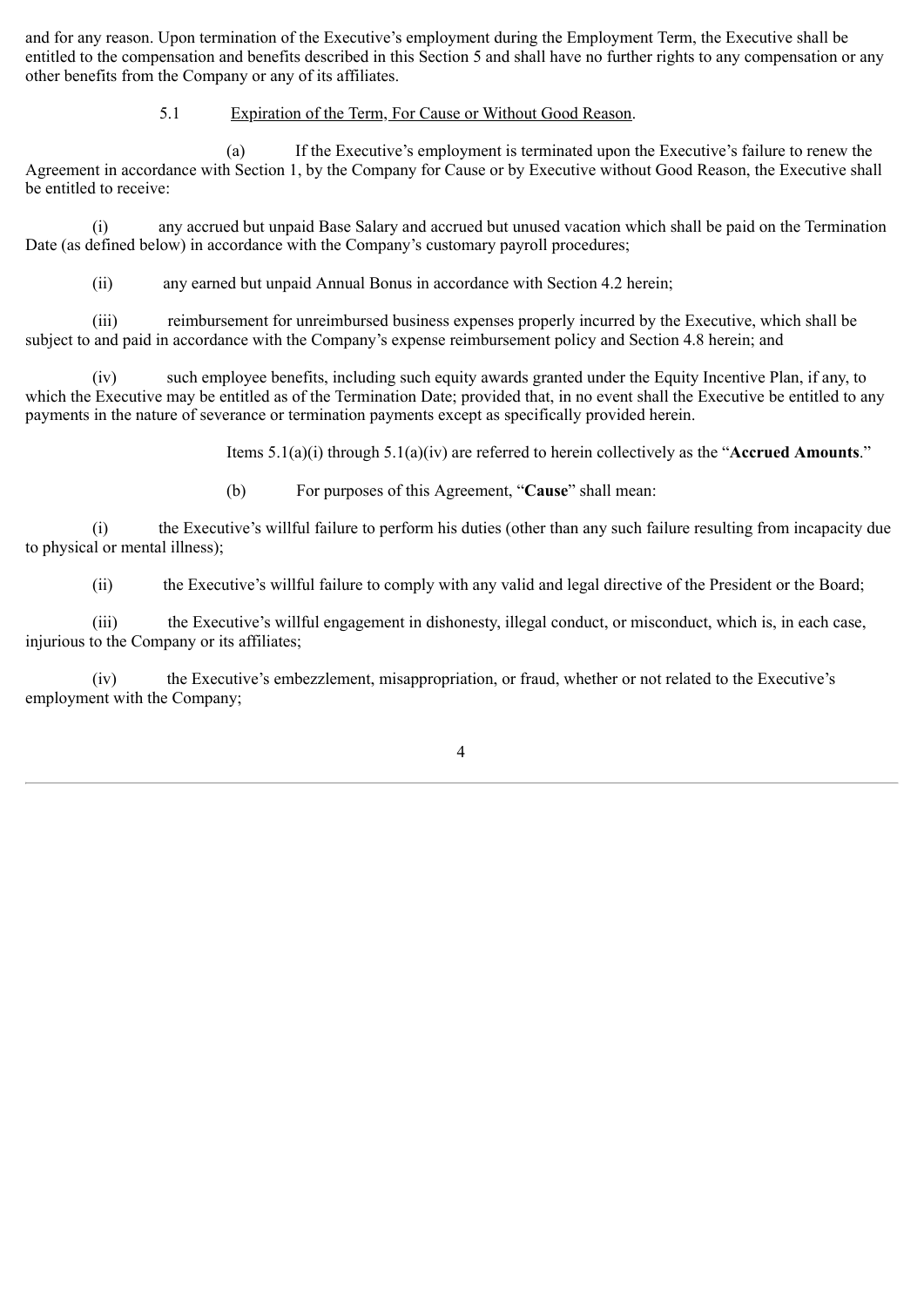and for any reason. Upon termination of the Executive's employment during the Employment Term, the Executive shall be entitled to the compensation and benefits described in this Section 5 and shall have no further rights to any compensation or any other benefits from the Company or any of its affiliates.

### 5.1 Expiration of the Term, For Cause or Without Good Reason.

(a) If the Executive's employment is terminated upon the Executive's failure to renew the Agreement in accordance with Section 1, by the Company for Cause or by Executive without Good Reason, the Executive shall be entitled to receive:

(i) any accrued but unpaid Base Salary and accrued but unused vacation which shall be paid on the Termination Date (as defined below) in accordance with the Company's customary payroll procedures;

(ii) any earned but unpaid Annual Bonus in accordance with Section 4.2 herein;

(iii) reimbursement for unreimbursed business expenses properly incurred by the Executive, which shall be subject to and paid in accordance with the Company's expense reimbursement policy and Section 4.8 herein; and

(iv) such employee benefits, including such equity awards granted under the Equity Incentive Plan, if any, to which the Executive may be entitled as of the Termination Date; provided that, in no event shall the Executive be entitled to any payments in the nature of severance or termination payments except as specifically provided herein.

Items 5.1(a)(i) through 5.1(a)(iv) are referred to herein collectively as the "**Accrued Amounts**."

(b) For purposes of this Agreement, "**Cause**" shall mean:

(i) the Executive's willful failure to perform his duties (other than any such failure resulting from incapacity due to physical or mental illness);

(ii) the Executive's willful failure to comply with any valid and legal directive of the President or the Board;

(iii) the Executive's willful engagement in dishonesty, illegal conduct, or misconduct, which is, in each case, injurious to the Company or its affiliates;

(iv) the Executive's embezzlement, misappropriation, or fraud, whether or not related to the Executive's employment with the Company;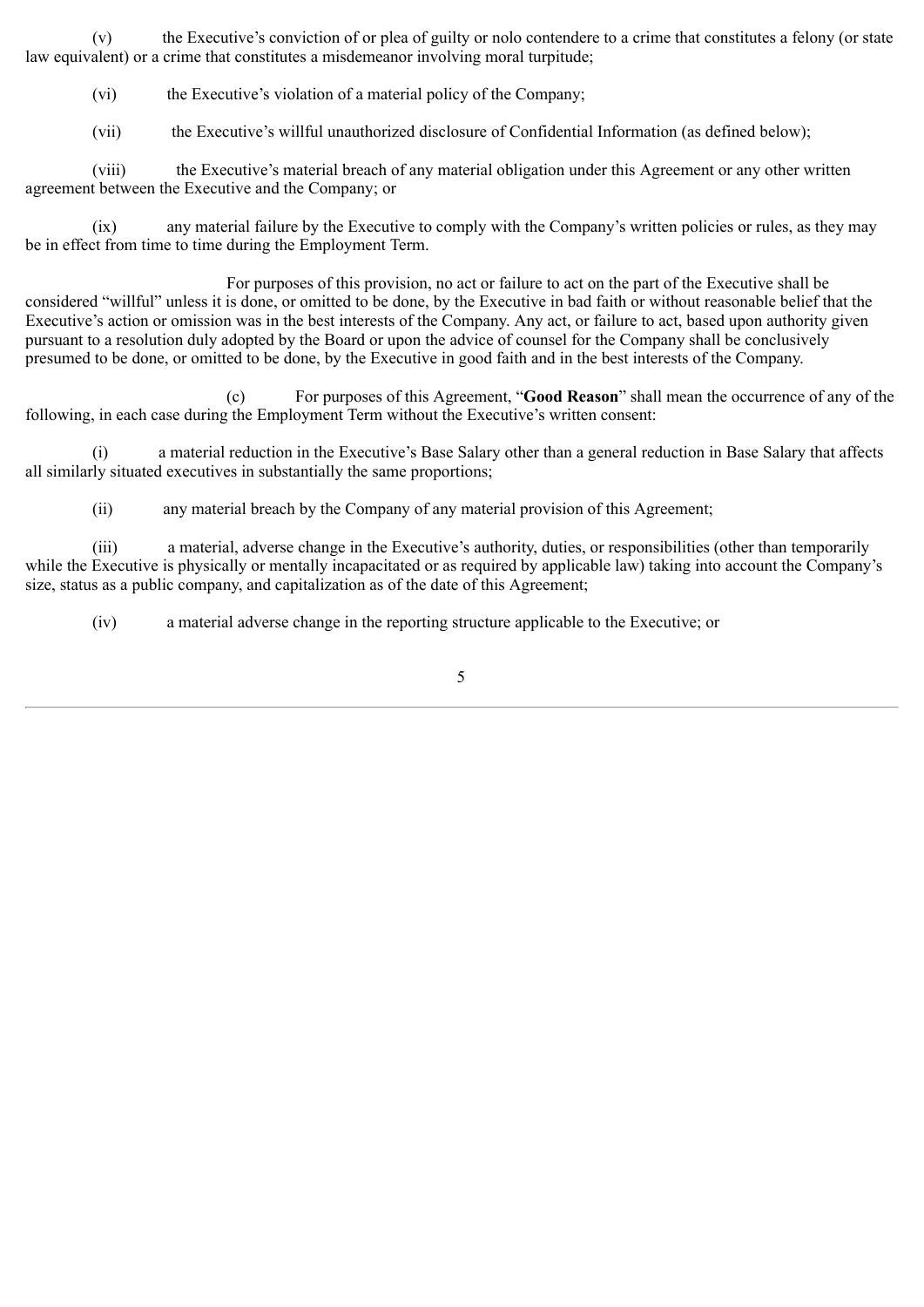(v) the Executive's conviction of or plea of guilty or nolo contendere to a crime that constitutes a felony (or state law equivalent) or a crime that constitutes a misdemeanor involving moral turpitude;

(vi) the Executive's violation of a material policy of the Company;

(vii) the Executive's willful unauthorized disclosure of Confidential Information (as defined below);

(viii) the Executive's material breach of any material obligation under this Agreement or any other written agreement between the Executive and the Company; or

(ix) any material failure by the Executive to comply with the Company's written policies or rules, as they may be in effect from time to time during the Employment Term.

For purposes of this provision, no act or failure to act on the part of the Executive shall be considered "willful" unless it is done, or omitted to be done, by the Executive in bad faith or without reasonable belief that the Executive's action or omission was in the best interests of the Company. Any act, or failure to act, based upon authority given pursuant to a resolution duly adopted by the Board or upon the advice of counsel for the Company shall be conclusively presumed to be done, or omitted to be done, by the Executive in good faith and in the best interests of the Company.

(c) For purposes of this Agreement, "**Good Reason**" shall mean the occurrence of any of the following, in each case during the Employment Term without the Executive's written consent:

(i) a material reduction in the Executive's Base Salary other than a general reduction in Base Salary that affects all similarly situated executives in substantially the same proportions;

(ii) any material breach by the Company of any material provision of this Agreement;

(iii) a material, adverse change in the Executive's authority, duties, or responsibilities (other than temporarily while the Executive is physically or mentally incapacitated or as required by applicable law) taking into account the Company's size, status as a public company, and capitalization as of the date of this Agreement;

(iv) a material adverse change in the reporting structure applicable to the Executive; or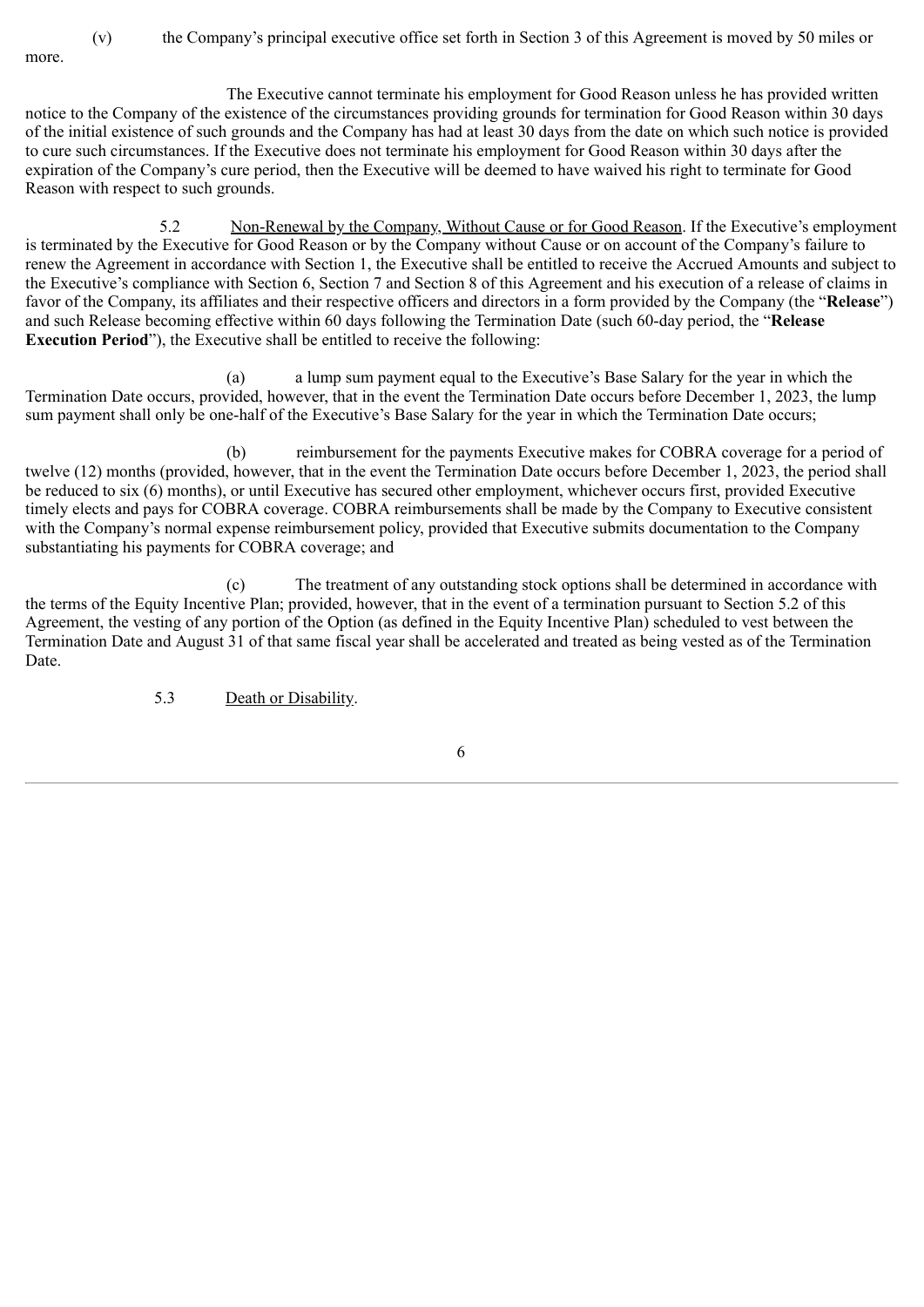more.

(v) the Company's principal executive office set forth in Section 3 of this Agreement is moved by 50 miles or

The Executive cannot terminate his employment for Good Reason unless he has provided written notice to the Company of the existence of the circumstances providing grounds for termination for Good Reason within 30 days of the initial existence of such grounds and the Company has had at least 30 days from the date on which such notice is provided to cure such circumstances. If the Executive does not terminate his employment for Good Reason within 30 days after the expiration of the Company's cure period, then the Executive will be deemed to have waived his right to terminate for Good Reason with respect to such grounds.

5.2 Non-Renewal by the Company, Without Cause or for Good Reason. If the Executive's employment is terminated by the Executive for Good Reason or by the Company without Cause or on account of the Company's failure to renew the Agreement in accordance with Section 1, the Executive shall be entitled to receive the Accrued Amounts and subject to the Executive's compliance with Section 6, Section 7 and Section 8 of this Agreement and his execution of a release of claims in favor of the Company, its affiliates and their respective officers and directors in a form provided by the Company (the "**Release**") and such Release becoming effective within 60 days following the Termination Date (such 60-day period, the "**Release Execution Period**"), the Executive shall be entitled to receive the following:

(a) a lump sum payment equal to the Executive's Base Salary for the year in which the Termination Date occurs, provided, however, that in the event the Termination Date occurs before December 1, 2023, the lump sum payment shall only be one-half of the Executive's Base Salary for the year in which the Termination Date occurs;

(b) reimbursement for the payments Executive makes for COBRA coverage for a period of twelve (12) months (provided, however, that in the event the Termination Date occurs before December 1, 2023, the period shall be reduced to six (6) months), or until Executive has secured other employment, whichever occurs first, provided Executive timely elects and pays for COBRA coverage. COBRA reimbursements shall be made by the Company to Executive consistent with the Company's normal expense reimbursement policy, provided that Executive submits documentation to the Company substantiating his payments for COBRA coverage; and

(c) The treatment of any outstanding stock options shall be determined in accordance with the terms of the Equity Incentive Plan; provided, however, that in the event of a termination pursuant to Section 5.2 of this Agreement, the vesting of any portion of the Option (as defined in the Equity Incentive Plan) scheduled to vest between the Termination Date and August 31 of that same fiscal year shall be accelerated and treated as being vested as of the Termination Date.

5.3 Death or Disability.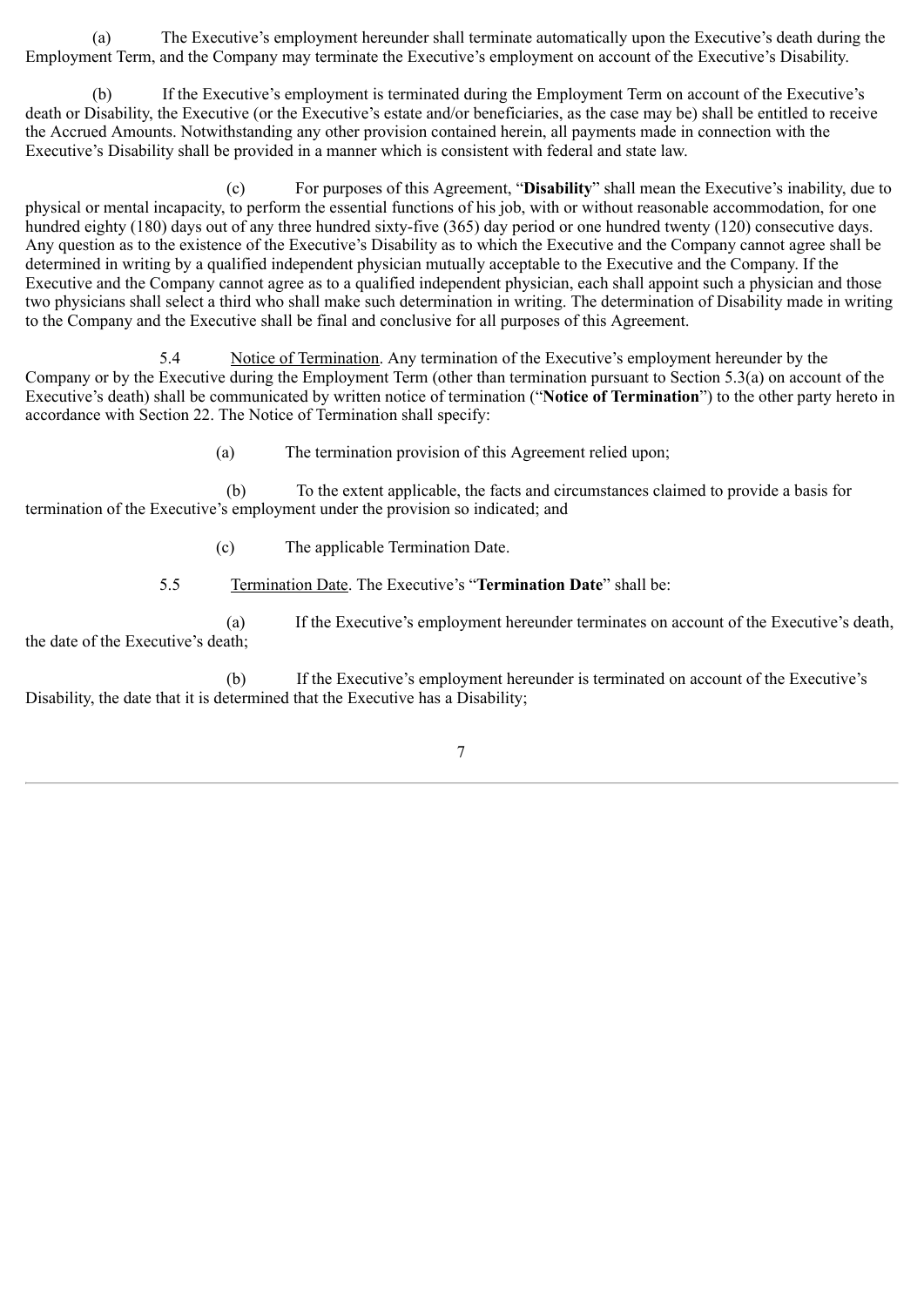(a) The Executive's employment hereunder shall terminate automatically upon the Executive's death during the Employment Term, and the Company may terminate the Executive's employment on account of the Executive's Disability.

(b) If the Executive's employment is terminated during the Employment Term on account of the Executive's death or Disability, the Executive (or the Executive's estate and/or beneficiaries, as the case may be) shall be entitled to receive the Accrued Amounts. Notwithstanding any other provision contained herein, all payments made in connection with the Executive's Disability shall be provided in a manner which is consistent with federal and state law.

(c) For purposes of this Agreement, "**Disability**" shall mean the Executive's inability, due to physical or mental incapacity, to perform the essential functions of his job, with or without reasonable accommodation, for one hundred eighty (180) days out of any three hundred sixty-five (365) day period or one hundred twenty (120) consecutive days. Any question as to the existence of the Executive's Disability as to which the Executive and the Company cannot agree shall be determined in writing by a qualified independent physician mutually acceptable to the Executive and the Company. If the Executive and the Company cannot agree as to a qualified independent physician, each shall appoint such a physician and those two physicians shall select a third who shall make such determination in writing. The determination of Disability made in writing to the Company and the Executive shall be final and conclusive for all purposes of this Agreement.

5.4 Notice of Termination. Any termination of the Executive's employment hereunder by the Company or by the Executive during the Employment Term (other than termination pursuant to Section 5.3(a) on account of the Executive's death) shall be communicated by written notice of termination ("**Notice of Termination**") to the other party hereto in accordance with Section 22. The Notice of Termination shall specify:

(a) The termination provision of this Agreement relied upon;

(b) To the extent applicable, the facts and circumstances claimed to provide a basis for termination of the Executive's employment under the provision so indicated; and

(c) The applicable Termination Date.

5.5 Termination Date. The Executive's "**Termination Date**" shall be:

(a) If the Executive's employment hereunder terminates on account of the Executive's death, the date of the Executive's death;

(b) If the Executive's employment hereunder is terminated on account of the Executive's Disability, the date that it is determined that the Executive has a Disability;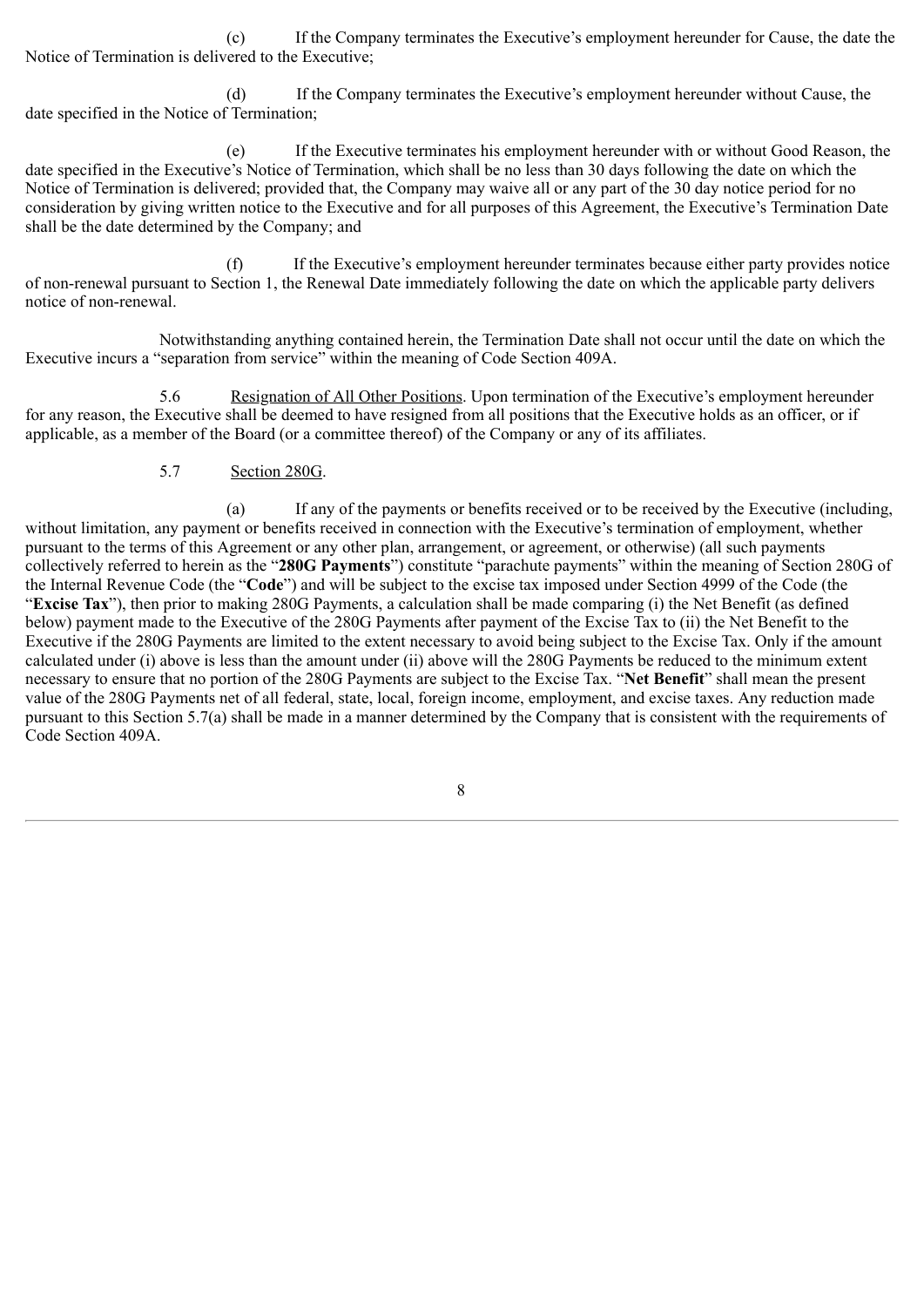(c) If the Company terminates the Executive's employment hereunder for Cause, the date the Notice of Termination is delivered to the Executive;

(d) If the Company terminates the Executive's employment hereunder without Cause, the date specified in the Notice of Termination;

(e) If the Executive terminates his employment hereunder with or without Good Reason, the date specified in the Executive's Notice of Termination, which shall be no less than 30 days following the date on which the Notice of Termination is delivered; provided that, the Company may waive all or any part of the 30 day notice period for no consideration by giving written notice to the Executive and for all purposes of this Agreement, the Executive's Termination Date shall be the date determined by the Company; and

(f) If the Executive's employment hereunder terminates because either party provides notice of non-renewal pursuant to Section 1, the Renewal Date immediately following the date on which the applicable party delivers notice of non-renewal.

Notwithstanding anything contained herein, the Termination Date shall not occur until the date on which the Executive incurs a "separation from service" within the meaning of Code Section 409A.

5.6 Resignation of All Other Positions. Upon termination of the Executive's employment hereunder for any reason, the Executive shall be deemed to have resigned from all positions that the Executive holds as an officer, or if applicable, as a member of the Board (or a committee thereof) of the Company or any of its affiliates.

### 5.7 Section 280G.

(a) If any of the payments or benefits received or to be received by the Executive (including, without limitation, any payment or benefits received in connection with the Executive's termination of employment, whether pursuant to the terms of this Agreement or any other plan, arrangement, or agreement, or otherwise) (all such payments collectively referred to herein as the "**280G Payments**") constitute "parachute payments" within the meaning of Section 280G of the Internal Revenue Code (the "**Code**") and will be subject to the excise tax imposed under Section 4999 of the Code (the "**Excise Tax**"), then prior to making 280G Payments, a calculation shall be made comparing (i) the Net Benefit (as defined below) payment made to the Executive of the 280G Payments after payment of the Excise Tax to (ii) the Net Benefit to the Executive if the 280G Payments are limited to the extent necessary to avoid being subject to the Excise Tax. Only if the amount calculated under (i) above is less than the amount under (ii) above will the 280G Payments be reduced to the minimum extent necessary to ensure that no portion of the 280G Payments are subject to the Excise Tax. "**Net Benefit**" shall mean the present value of the 280G Payments net of all federal, state, local, foreign income, employment, and excise taxes. Any reduction made pursuant to this Section 5.7(a) shall be made in a manner determined by the Company that is consistent with the requirements of Code Section 409A.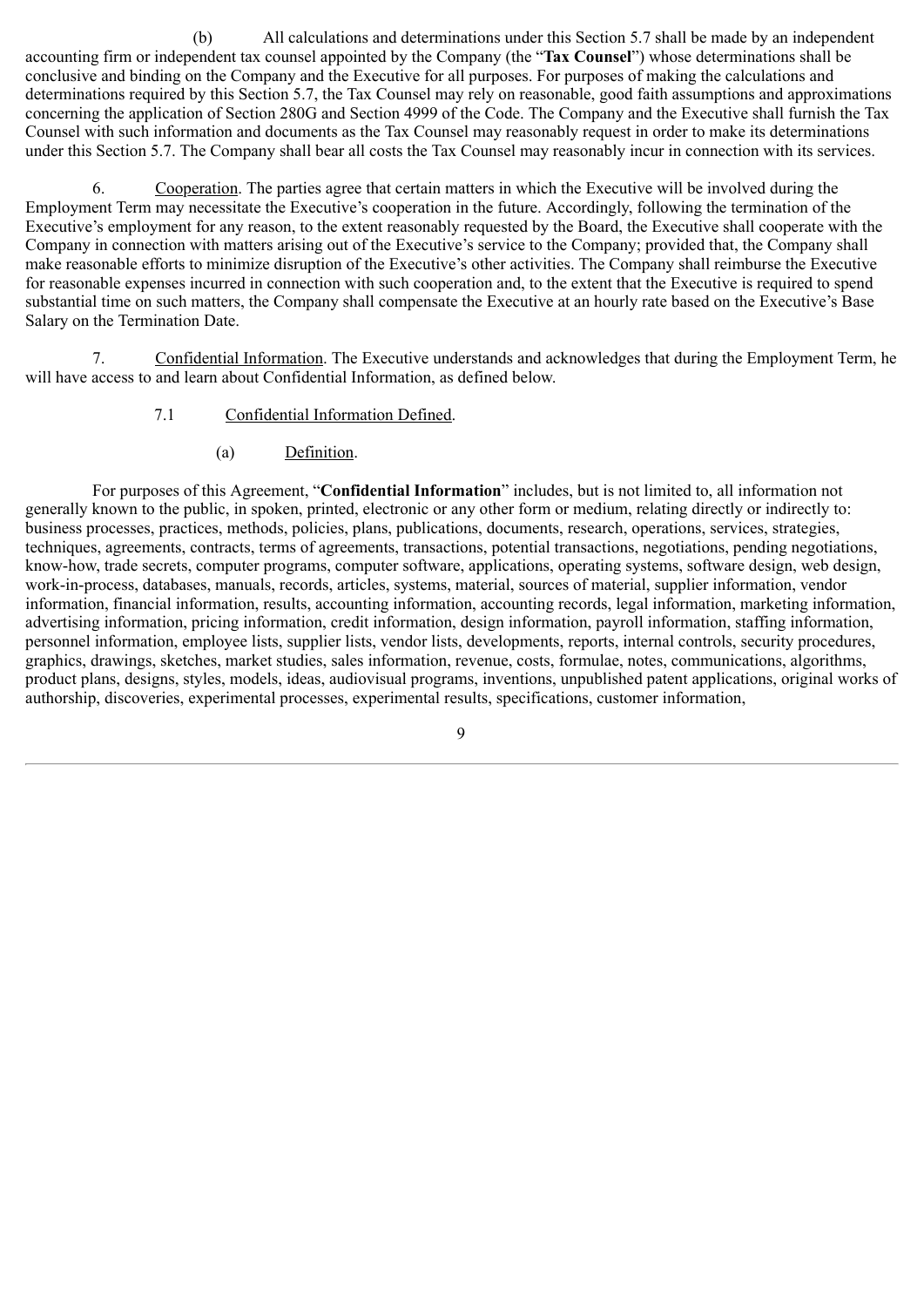(b) All calculations and determinations under this Section 5.7 shall be made by an independent accounting firm or independent tax counsel appointed by the Company (the "**Tax Counsel**") whose determinations shall be conclusive and binding on the Company and the Executive for all purposes. For purposes of making the calculations and determinations required by this Section 5.7, the Tax Counsel may rely on reasonable, good faith assumptions and approximations concerning the application of Section 280G and Section 4999 of the Code. The Company and the Executive shall furnish the Tax Counsel with such information and documents as the Tax Counsel may reasonably request in order to make its determinations under this Section 5.7. The Company shall bear all costs the Tax Counsel may reasonably incur in connection with its services.

6. Cooperation. The parties agree that certain matters in which the Executive will be involved during the Employment Term may necessitate the Executive's cooperation in the future. Accordingly, following the termination of the Executive's employment for any reason, to the extent reasonably requested by the Board, the Executive shall cooperate with the Company in connection with matters arising out of the Executive's service to the Company; provided that, the Company shall make reasonable efforts to minimize disruption of the Executive's other activities. The Company shall reimburse the Executive for reasonable expenses incurred in connection with such cooperation and, to the extent that the Executive is required to spend substantial time on such matters, the Company shall compensate the Executive at an hourly rate based on the Executive's Base Salary on the Termination Date.

7. Confidential Information. The Executive understands and acknowledges that during the Employment Term, he will have access to and learn about Confidential Information, as defined below.

- 7.1 Confidential Information Defined.
	- (a) Definition.

For purposes of this Agreement, "**Confidential Information**" includes, but is not limited to, all information not generally known to the public, in spoken, printed, electronic or any other form or medium, relating directly or indirectly to: business processes, practices, methods, policies, plans, publications, documents, research, operations, services, strategies, techniques, agreements, contracts, terms of agreements, transactions, potential transactions, negotiations, pending negotiations, know-how, trade secrets, computer programs, computer software, applications, operating systems, software design, web design, work-in-process, databases, manuals, records, articles, systems, material, sources of material, supplier information, vendor information, financial information, results, accounting information, accounting records, legal information, marketing information, advertising information, pricing information, credit information, design information, payroll information, staffing information, personnel information, employee lists, supplier lists, vendor lists, developments, reports, internal controls, security procedures, graphics, drawings, sketches, market studies, sales information, revenue, costs, formulae, notes, communications, algorithms, product plans, designs, styles, models, ideas, audiovisual programs, inventions, unpublished patent applications, original works of authorship, discoveries, experimental processes, experimental results, specifications, customer information,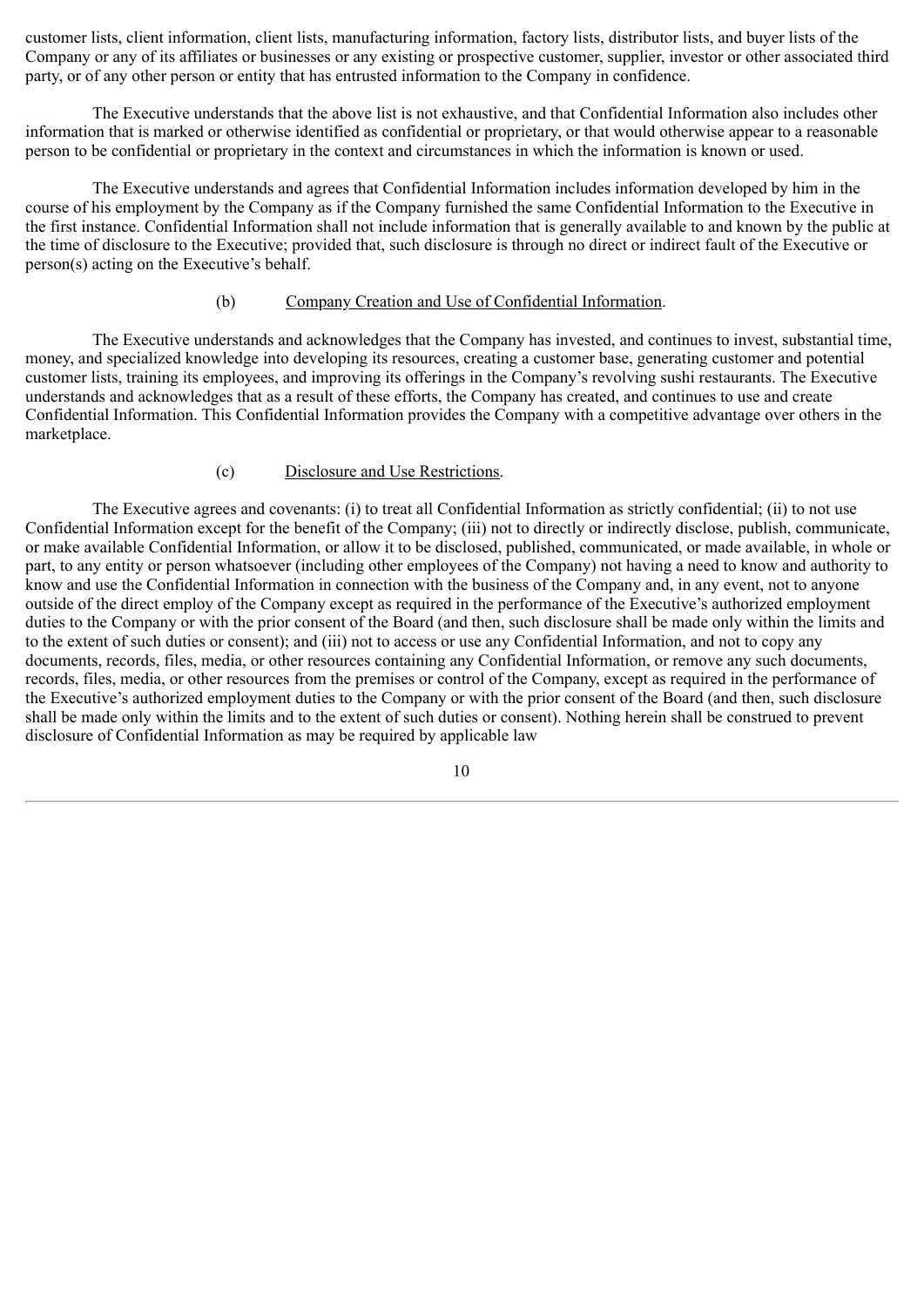customer lists, client information, client lists, manufacturing information, factory lists, distributor lists, and buyer lists of the Company or any of its affiliates or businesses or any existing or prospective customer, supplier, investor or other associated third party, or of any other person or entity that has entrusted information to the Company in confidence.

The Executive understands that the above list is not exhaustive, and that Confidential Information also includes other information that is marked or otherwise identified as confidential or proprietary, or that would otherwise appear to a reasonable person to be confidential or proprietary in the context and circumstances in which the information is known or used.

The Executive understands and agrees that Confidential Information includes information developed by him in the course of his employment by the Company as if the Company furnished the same Confidential Information to the Executive in the first instance. Confidential Information shall not include information that is generally available to and known by the public at the time of disclosure to the Executive; provided that, such disclosure is through no direct or indirect fault of the Executive or person(s) acting on the Executive's behalf.

### (b) Company Creation and Use of Confidential Information.

The Executive understands and acknowledges that the Company has invested, and continues to invest, substantial time, money, and specialized knowledge into developing its resources, creating a customer base, generating customer and potential customer lists, training its employees, and improving its offerings in the Company's revolving sushi restaurants. The Executive understands and acknowledges that as a result of these efforts, the Company has created, and continues to use and create Confidential Information. This Confidential Information provides the Company with a competitive advantage over others in the marketplace.

### (c) Disclosure and Use Restrictions.

The Executive agrees and covenants: (i) to treat all Confidential Information as strictly confidential; (ii) to not use Confidential Information except for the benefit of the Company; (iii) not to directly or indirectly disclose, publish, communicate, or make available Confidential Information, or allow it to be disclosed, published, communicated, or made available, in whole or part, to any entity or person whatsoever (including other employees of the Company) not having a need to know and authority to know and use the Confidential Information in connection with the business of the Company and, in any event, not to anyone outside of the direct employ of the Company except as required in the performance of the Executive's authorized employment duties to the Company or with the prior consent of the Board (and then, such disclosure shall be made only within the limits and to the extent of such duties or consent); and (iii) not to access or use any Confidential Information, and not to copy any documents, records, files, media, or other resources containing any Confidential Information, or remove any such documents, records, files, media, or other resources from the premises or control of the Company, except as required in the performance of the Executive's authorized employment duties to the Company or with the prior consent of the Board (and then, such disclosure shall be made only within the limits and to the extent of such duties or consent). Nothing herein shall be construed to prevent disclosure of Confidential Information as may be required by applicable law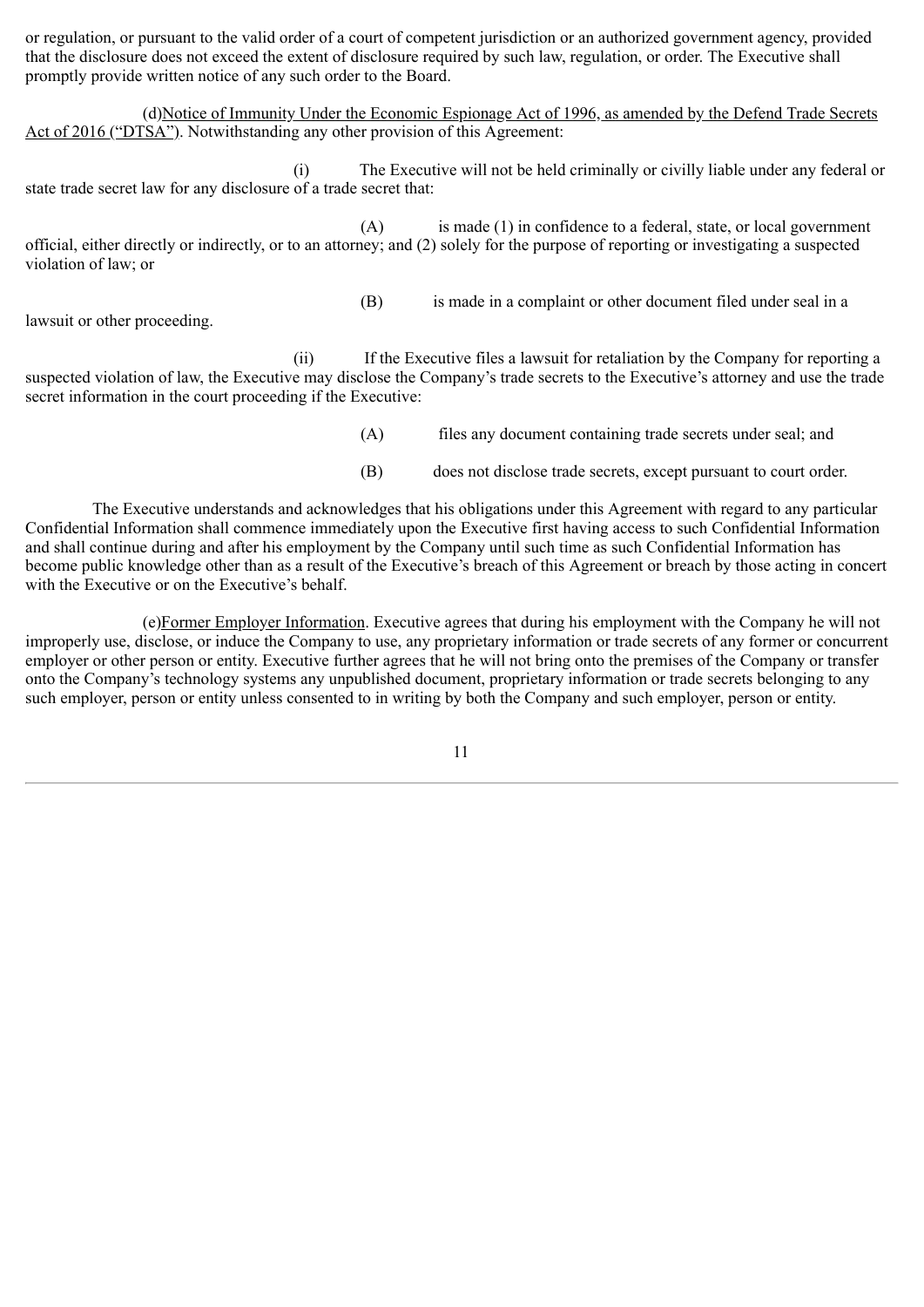or regulation, or pursuant to the valid order of a court of competent jurisdiction or an authorized government agency, provided that the disclosure does not exceed the extent of disclosure required by such law, regulation, or order. The Executive shall promptly provide written notice of any such order to the Board.

(d)Notice of Immunity Under the Economic Espionage Act of 1996, as amended by the Defend Trade Secrets Act of 2016 ("DTSA"). Notwithstanding any other provision of this Agreement:

(i) The Executive will not be held criminally or civilly liable under any federal or state trade secret law for any disclosure of a trade secret that:

(A) is made (1) in confidence to a federal, state, or local government official, either directly or indirectly, or to an attorney; and (2) solely for the purpose of reporting or investigating a suspected violation of law; or

lawsuit or other proceeding.

(B) is made in a complaint or other document filed under seal in a

(ii) If the Executive files a lawsuit for retaliation by the Company for reporting a suspected violation of law, the Executive may disclose the Company's trade secrets to the Executive's attorney and use the trade secret information in the court proceeding if the Executive:

- (A) files any document containing trade secrets under seal; and
- (B) does not disclose trade secrets, except pursuant to court order.

The Executive understands and acknowledges that his obligations under this Agreement with regard to any particular Confidential Information shall commence immediately upon the Executive first having access to such Confidential Information and shall continue during and after his employment by the Company until such time as such Confidential Information has become public knowledge other than as a result of the Executive's breach of this Agreement or breach by those acting in concert with the Executive or on the Executive's behalf.

(e)Former Employer Information. Executive agrees that during his employment with the Company he will not improperly use, disclose, or induce the Company to use, any proprietary information or trade secrets of any former or concurrent employer or other person or entity. Executive further agrees that he will not bring onto the premises of the Company or transfer onto the Company's technology systems any unpublished document, proprietary information or trade secrets belonging to any such employer, person or entity unless consented to in writing by both the Company and such employer, person or entity.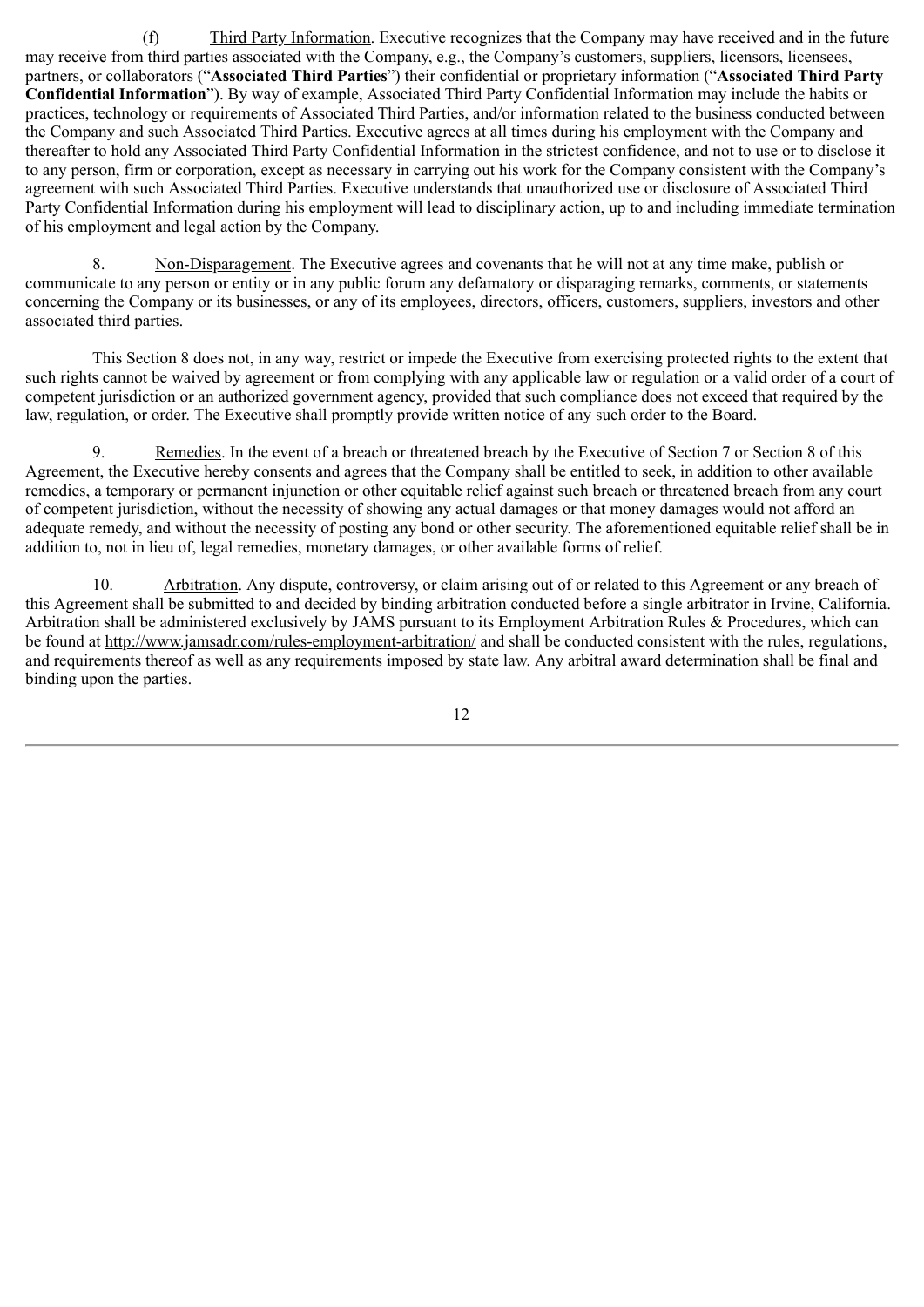(f) Third Party Information. Executive recognizes that the Company may have received and in the future may receive from third parties associated with the Company, e.g., the Company's customers, suppliers, licensors, licensees, partners, or collaborators ("**Associated Third Parties**") their confidential or proprietary information ("**Associated Third Party Confidential Information**"). By way of example, Associated Third Party Confidential Information may include the habits or practices, technology or requirements of Associated Third Parties, and/or information related to the business conducted between the Company and such Associated Third Parties. Executive agrees at all times during his employment with the Company and thereafter to hold any Associated Third Party Confidential Information in the strictest confidence, and not to use or to disclose it to any person, firm or corporation, except as necessary in carrying out his work for the Company consistent with the Company's agreement with such Associated Third Parties. Executive understands that unauthorized use or disclosure of Associated Third Party Confidential Information during his employment will lead to disciplinary action, up to and including immediate termination of his employment and legal action by the Company.

8. Non-Disparagement. The Executive agrees and covenants that he will not at any time make, publish or communicate to any person or entity or in any public forum any defamatory or disparaging remarks, comments, or statements concerning the Company or its businesses, or any of its employees, directors, officers, customers, suppliers, investors and other associated third parties.

This Section 8 does not, in any way, restrict or impede the Executive from exercising protected rights to the extent that such rights cannot be waived by agreement or from complying with any applicable law or regulation or a valid order of a court of competent jurisdiction or an authorized government agency, provided that such compliance does not exceed that required by the law, regulation, or order. The Executive shall promptly provide written notice of any such order to the Board.

9. Remedies. In the event of a breach or threatened breach by the Executive of Section 7 or Section 8 of this Agreement, the Executive hereby consents and agrees that the Company shall be entitled to seek, in addition to other available remedies, a temporary or permanent injunction or other equitable relief against such breach or threatened breach from any court of competent jurisdiction, without the necessity of showing any actual damages or that money damages would not afford an adequate remedy, and without the necessity of posting any bond or other security. The aforementioned equitable relief shall be in addition to, not in lieu of, legal remedies, monetary damages, or other available forms of relief.

10. Arbitration. Any dispute, controversy, or claim arising out of or related to this Agreement or any breach of this Agreement shall be submitted to and decided by binding arbitration conducted before a single arbitrator in Irvine, California. Arbitration shall be administered exclusively by JAMS pursuant to its Employment Arbitration Rules & Procedures, which can be found at http://www.jamsadr.com/rules-employment-arbitration/ and shall be conducted consistent with the rules, regulations, and requirements thereof as well as any requirements imposed by state law. Any arbitral award determination shall be final and binding upon the parties.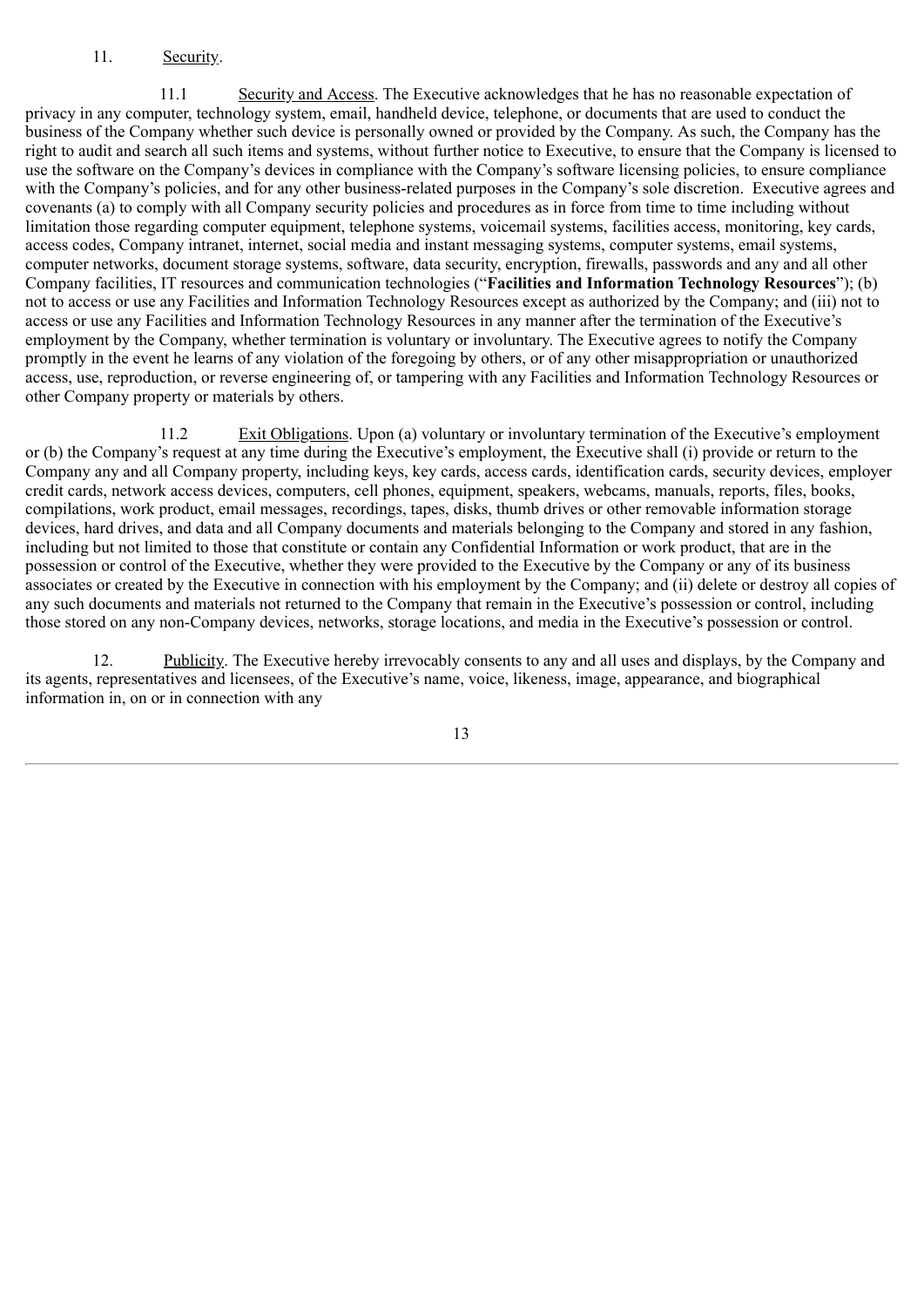### 11. Security.

11.1 Security and Access. The Executive acknowledges that he has no reasonable expectation of privacy in any computer, technology system, email, handheld device, telephone, or documents that are used to conduct the business of the Company whether such device is personally owned or provided by the Company. As such, the Company has the right to audit and search all such items and systems, without further notice to Executive, to ensure that the Company is licensed to use the software on the Company's devices in compliance with the Company's software licensing policies, to ensure compliance with the Company's policies, and for any other business-related purposes in the Company's sole discretion. Executive agrees and covenants (a) to comply with all Company security policies and procedures as in force from time to time including without limitation those regarding computer equipment, telephone systems, voicemail systems, facilities access, monitoring, key cards, access codes, Company intranet, internet, social media and instant messaging systems, computer systems, email systems, computer networks, document storage systems, software, data security, encryption, firewalls, passwords and any and all other Company facilities, IT resources and communication technologies ("**Facilities and Information Technology Resources**"); (b) not to access or use any Facilities and Information Technology Resources except as authorized by the Company; and (iii) not to access or use any Facilities and Information Technology Resources in any manner after the termination of the Executive's employment by the Company, whether termination is voluntary or involuntary. The Executive agrees to notify the Company promptly in the event he learns of any violation of the foregoing by others, or of any other misappropriation or unauthorized access, use, reproduction, or reverse engineering of, or tampering with any Facilities and Information Technology Resources or other Company property or materials by others.

11.2 Exit Obligations. Upon (a) voluntary or involuntary termination of the Executive's employment or (b) the Company's request at any time during the Executive's employment, the Executive shall (i) provide or return to the Company any and all Company property, including keys, key cards, access cards, identification cards, security devices, employer credit cards, network access devices, computers, cell phones, equipment, speakers, webcams, manuals, reports, files, books, compilations, work product, email messages, recordings, tapes, disks, thumb drives or other removable information storage devices, hard drives, and data and all Company documents and materials belonging to the Company and stored in any fashion, including but not limited to those that constitute or contain any Confidential Information or work product, that are in the possession or control of the Executive, whether they were provided to the Executive by the Company or any of its business associates or created by the Executive in connection with his employment by the Company; and (ii) delete or destroy all copies of any such documents and materials not returned to the Company that remain in the Executive's possession or control, including those stored on any non-Company devices, networks, storage locations, and media in the Executive's possession or control.

12. Publicity. The Executive hereby irrevocably consents to any and all uses and displays, by the Company and its agents, representatives and licensees, of the Executive's name, voice, likeness, image, appearance, and biographical information in, on or in connection with any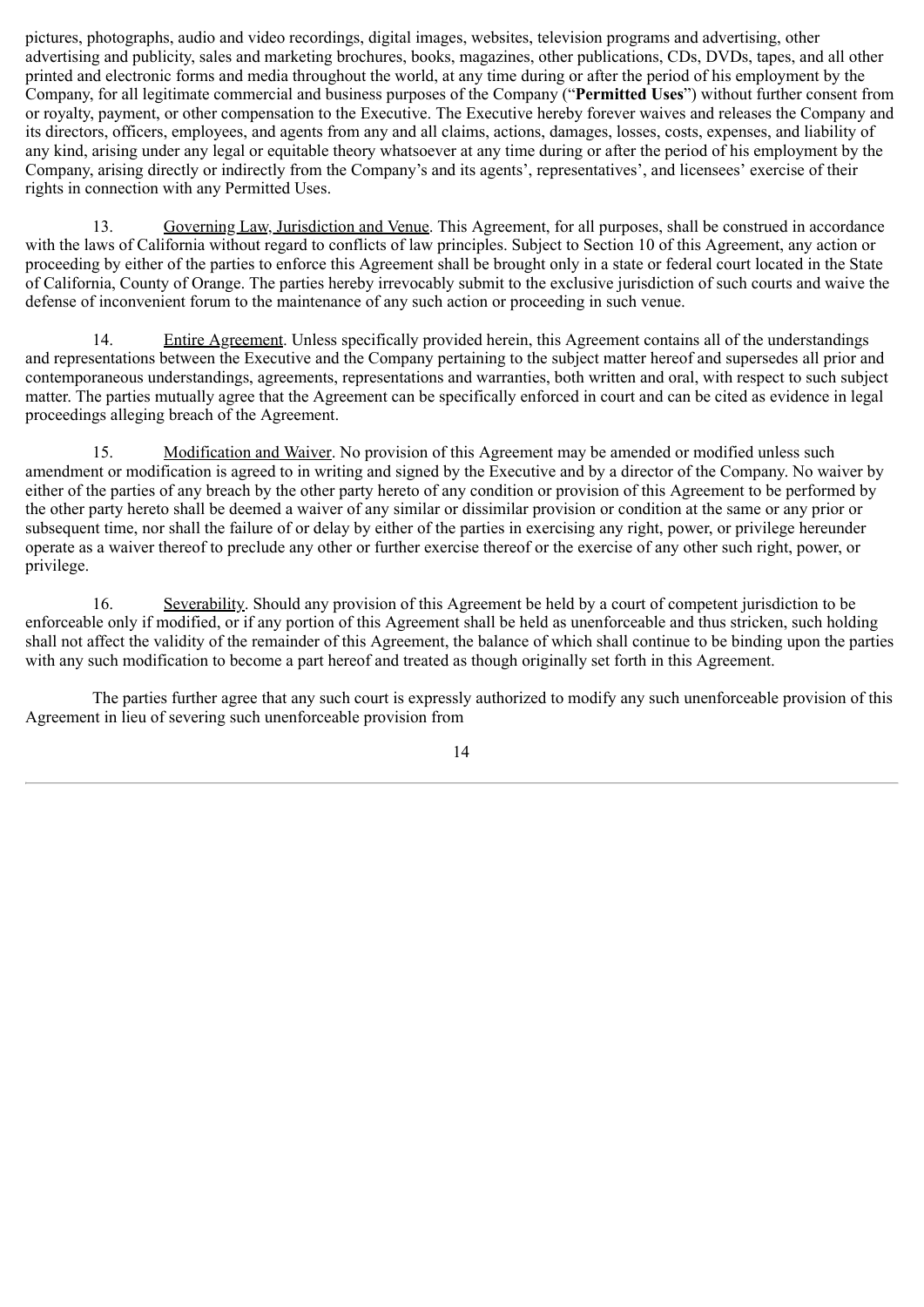pictures, photographs, audio and video recordings, digital images, websites, television programs and advertising, other advertising and publicity, sales and marketing brochures, books, magazines, other publications, CDs, DVDs, tapes, and all other printed and electronic forms and media throughout the world, at any time during or after the period of his employment by the Company, for all legitimate commercial and business purposes of the Company ("**Permitted Uses**") without further consent from or royalty, payment, or other compensation to the Executive. The Executive hereby forever waives and releases the Company and its directors, officers, employees, and agents from any and all claims, actions, damages, losses, costs, expenses, and liability of any kind, arising under any legal or equitable theory whatsoever at any time during or after the period of his employment by the Company, arising directly or indirectly from the Company's and its agents', representatives', and licensees' exercise of their rights in connection with any Permitted Uses.

13. Governing Law, Jurisdiction and Venue. This Agreement, for all purposes, shall be construed in accordance with the laws of California without regard to conflicts of law principles. Subject to Section 10 of this Agreement, any action or proceeding by either of the parties to enforce this Agreement shall be brought only in a state or federal court located in the State of California, County of Orange. The parties hereby irrevocably submit to the exclusive jurisdiction of such courts and waive the defense of inconvenient forum to the maintenance of any such action or proceeding in such venue.

14. Entire Agreement. Unless specifically provided herein, this Agreement contains all of the understandings and representations between the Executive and the Company pertaining to the subject matter hereof and supersedes all prior and contemporaneous understandings, agreements, representations and warranties, both written and oral, with respect to such subject matter. The parties mutually agree that the Agreement can be specifically enforced in court and can be cited as evidence in legal proceedings alleging breach of the Agreement.

15. Modification and Waiver. No provision of this Agreement may be amended or modified unless such amendment or modification is agreed to in writing and signed by the Executive and by a director of the Company. No waiver by either of the parties of any breach by the other party hereto of any condition or provision of this Agreement to be performed by the other party hereto shall be deemed a waiver of any similar or dissimilar provision or condition at the same or any prior or subsequent time, nor shall the failure of or delay by either of the parties in exercising any right, power, or privilege hereunder operate as a waiver thereof to preclude any other or further exercise thereof or the exercise of any other such right, power, or privilege.

16. Severability. Should any provision of this Agreement be held by a court of competent jurisdiction to be enforceable only if modified, or if any portion of this Agreement shall be held as unenforceable and thus stricken, such holding shall not affect the validity of the remainder of this Agreement, the balance of which shall continue to be binding upon the parties with any such modification to become a part hereof and treated as though originally set forth in this Agreement.

The parties further agree that any such court is expressly authorized to modify any such unenforceable provision of this Agreement in lieu of severing such unenforceable provision from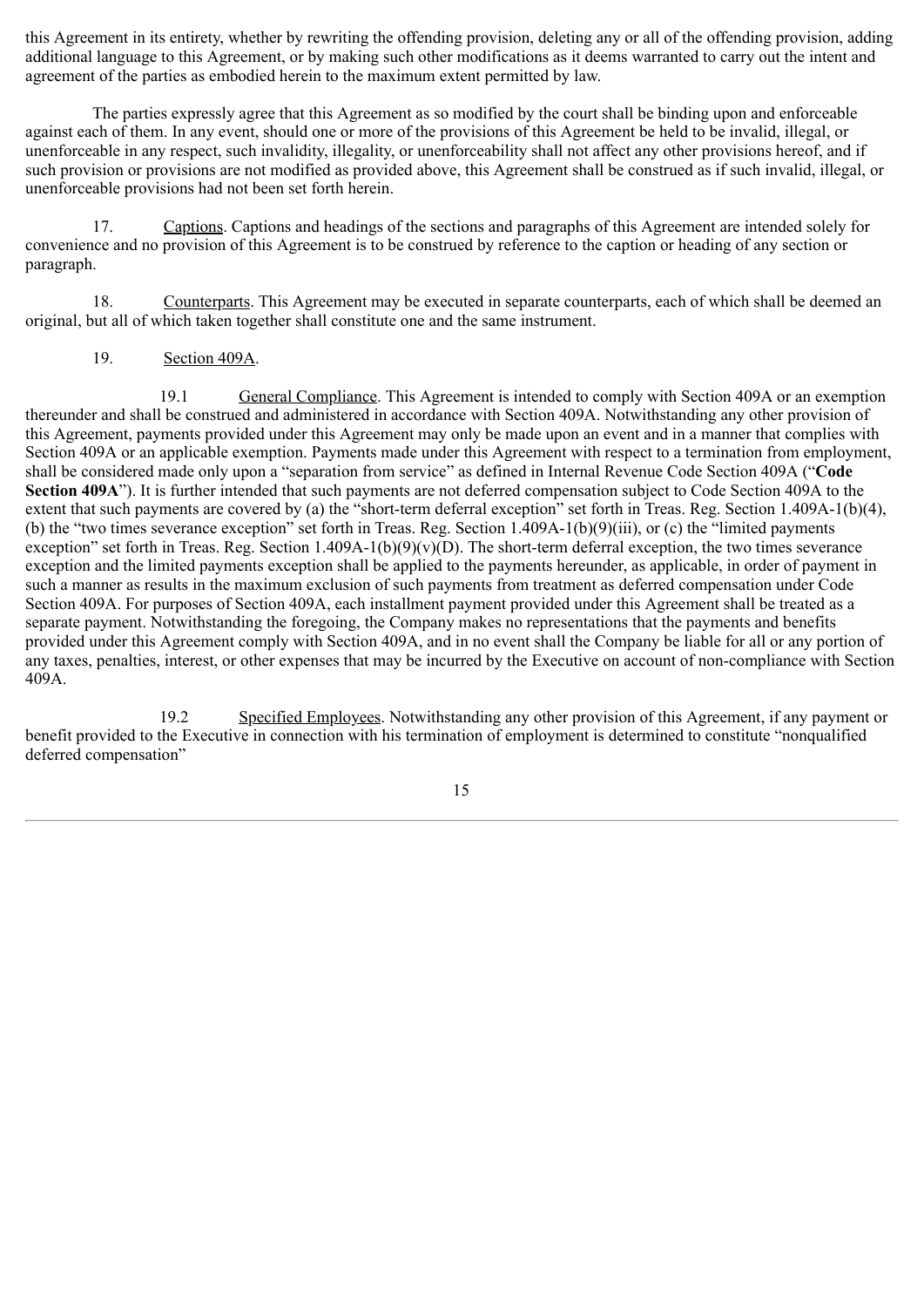this Agreement in its entirety, whether by rewriting the offending provision, deleting any or all of the offending provision, adding additional language to this Agreement, or by making such other modifications as it deems warranted to carry out the intent and agreement of the parties as embodied herein to the maximum extent permitted by law.

The parties expressly agree that this Agreement as so modified by the court shall be binding upon and enforceable against each of them. In any event, should one or more of the provisions of this Agreement be held to be invalid, illegal, or unenforceable in any respect, such invalidity, illegality, or unenforceability shall not affect any other provisions hereof, and if such provision or provisions are not modified as provided above, this Agreement shall be construed as if such invalid, illegal, or unenforceable provisions had not been set forth herein.

17. Captions. Captions and headings of the sections and paragraphs of this Agreement are intended solely for convenience and no provision of this Agreement is to be construed by reference to the caption or heading of any section or paragraph.

18. Counterparts. This Agreement may be executed in separate counterparts, each of which shall be deemed an original, but all of which taken together shall constitute one and the same instrument.

### 19. Section 409A.

19.1 General Compliance. This Agreement is intended to comply with Section 409A or an exemption thereunder and shall be construed and administered in accordance with Section 409A. Notwithstanding any other provision of this Agreement, payments provided under this Agreement may only be made upon an event and in a manner that complies with Section 409A or an applicable exemption. Payments made under this Agreement with respect to a termination from employment, shall be considered made only upon a "separation from service" as defined in Internal Revenue Code Section 409A ("**Code Section 409A**"). It is further intended that such payments are not deferred compensation subject to Code Section 409A to the extent that such payments are covered by (a) the "short-term deferral exception" set forth in Treas. Reg. Section 1.409A-1(b)(4), (b) the "two times severance exception" set forth in Treas. Reg. Section 1.409A-1(b)(9)(iii), or (c) the "limited payments exception" set forth in Treas. Reg. Section  $1.409A-1(b)(9)(v)(D)$ . The short-term deferral exception, the two times severance exception and the limited payments exception shall be applied to the payments hereunder, as applicable, in order of payment in such a manner as results in the maximum exclusion of such payments from treatment as deferred compensation under Code Section 409A. For purposes of Section 409A, each installment payment provided under this Agreement shall be treated as a separate payment. Notwithstanding the foregoing, the Company makes no representations that the payments and benefits provided under this Agreement comply with Section 409A, and in no event shall the Company be liable for all or any portion of any taxes, penalties, interest, or other expenses that may be incurred by the Executive on account of non-compliance with Section 409A.

19.2 Specified Employees. Notwithstanding any other provision of this Agreement, if any payment or benefit provided to the Executive in connection with his termination of employment is determined to constitute "nonqualified deferred compensation"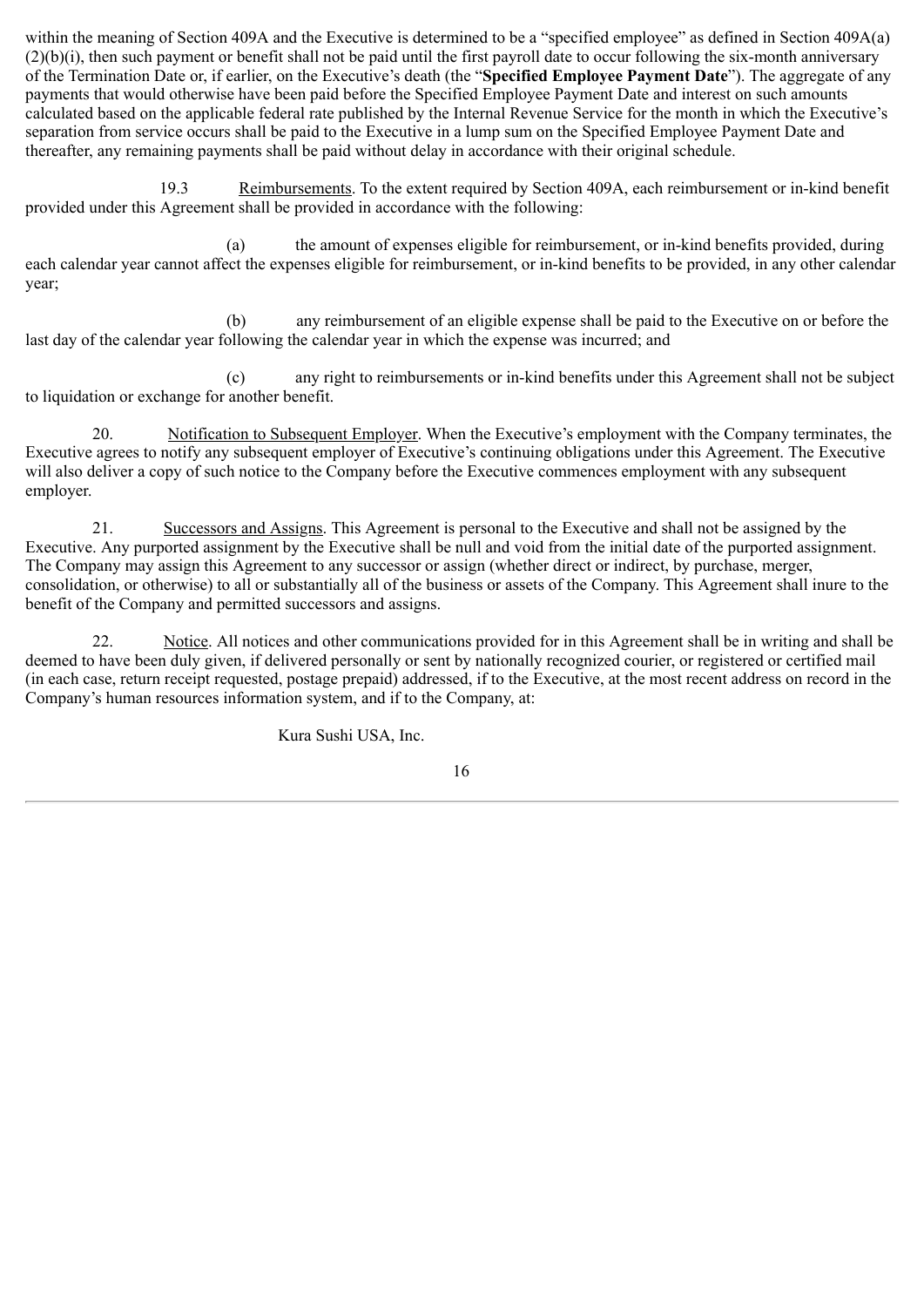within the meaning of Section 409A and the Executive is determined to be a "specified employee" as defined in Section 409A(a) (2)(b)(i), then such payment or benefit shall not be paid until the first payroll date to occur following the six-month anniversary of the Termination Date or, if earlier, on the Executive's death (the "**Specified Employee Payment Date**"). The aggregate of any payments that would otherwise have been paid before the Specified Employee Payment Date and interest on such amounts calculated based on the applicable federal rate published by the Internal Revenue Service for the month in which the Executive's separation from service occurs shall be paid to the Executive in a lump sum on the Specified Employee Payment Date and thereafter, any remaining payments shall be paid without delay in accordance with their original schedule.

19.3 Reimbursements. To the extent required by Section 409A, each reimbursement or in-kind benefit provided under this Agreement shall be provided in accordance with the following:

(a) the amount of expenses eligible for reimbursement, or in-kind benefits provided, during each calendar year cannot affect the expenses eligible for reimbursement, or in-kind benefits to be provided, in any other calendar year;

(b) any reimbursement of an eligible expense shall be paid to the Executive on or before the last day of the calendar year following the calendar year in which the expense was incurred; and

(c) any right to reimbursements or in-kind benefits under this Agreement shall not be subject to liquidation or exchange for another benefit.

20. Notification to Subsequent Employer. When the Executive's employment with the Company terminates, the Executive agrees to notify any subsequent employer of Executive's continuing obligations under this Agreement. The Executive will also deliver a copy of such notice to the Company before the Executive commences employment with any subsequent employer.

21. Successors and Assigns. This Agreement is personal to the Executive and shall not be assigned by the Executive. Any purported assignment by the Executive shall be null and void from the initial date of the purported assignment. The Company may assign this Agreement to any successor or assign (whether direct or indirect, by purchase, merger, consolidation, or otherwise) to all or substantially all of the business or assets of the Company. This Agreement shall inure to the benefit of the Company and permitted successors and assigns.

22. Notice. All notices and other communications provided for in this Agreement shall be in writing and shall be deemed to have been duly given, if delivered personally or sent by nationally recognized courier, or registered or certified mail (in each case, return receipt requested, postage prepaid) addressed, if to the Executive, at the most recent address on record in the Company's human resources information system, and if to the Company, at:

Kura Sushi USA, Inc.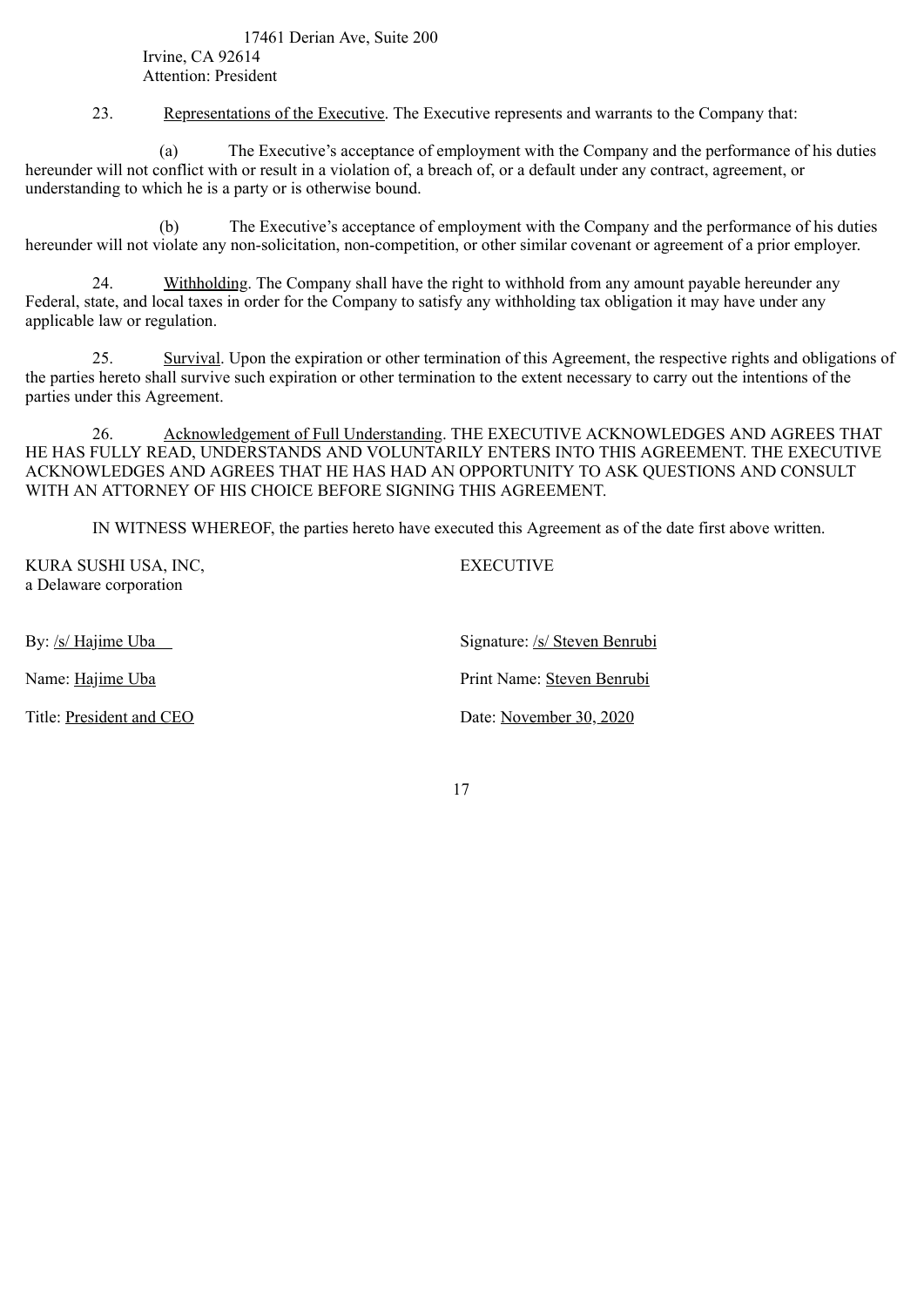17461 Derian Ave, Suite 200 Irvine, CA 92614 Attention: President

23. Representations of the Executive. The Executive represents and warrants to the Company that:

(a) The Executive's acceptance of employment with the Company and the performance of his duties hereunder will not conflict with or result in a violation of, a breach of, or a default under any contract, agreement, or understanding to which he is a party or is otherwise bound.

(b) The Executive's acceptance of employment with the Company and the performance of his duties hereunder will not violate any non-solicitation, non-competition, or other similar covenant or agreement of a prior employer.

24. Withholding. The Company shall have the right to withhold from any amount payable hereunder any Federal, state, and local taxes in order for the Company to satisfy any withholding tax obligation it may have under any applicable law or regulation.

25. Survival. Upon the expiration or other termination of this Agreement, the respective rights and obligations of the parties hereto shall survive such expiration or other termination to the extent necessary to carry out the intentions of the parties under this Agreement.

26. Acknowledgement of Full Understanding. THE EXECUTIVE ACKNOWLEDGES AND AGREES THAT HE HAS FULLY READ, UNDERSTANDS AND VOLUNTARILY ENTERS INTO THIS AGREEMENT. THE EXECUTIVE ACKNOWLEDGES AND AGREES THAT HE HAS HAD AN OPPORTUNITY TO ASK QUESTIONS AND CONSULT WITH AN ATTORNEY OF HIS CHOICE BEFORE SIGNING THIS AGREEMENT.

IN WITNESS WHEREOF, the parties hereto have executed this Agreement as of the date first above written.

| KURA SUSHI USA, INC,<br>a Delaware corporation | <b>EXECUTIVE</b>              |
|------------------------------------------------|-------------------------------|
| By: <u>/s/ Hajime Uba</u>                      | Signature: /s/ Steven Benrubi |
| Name: Hajime Uba                               | Print Name: Steven Benrubi    |
| Title: President and CEO                       | Date: November 30, 2020       |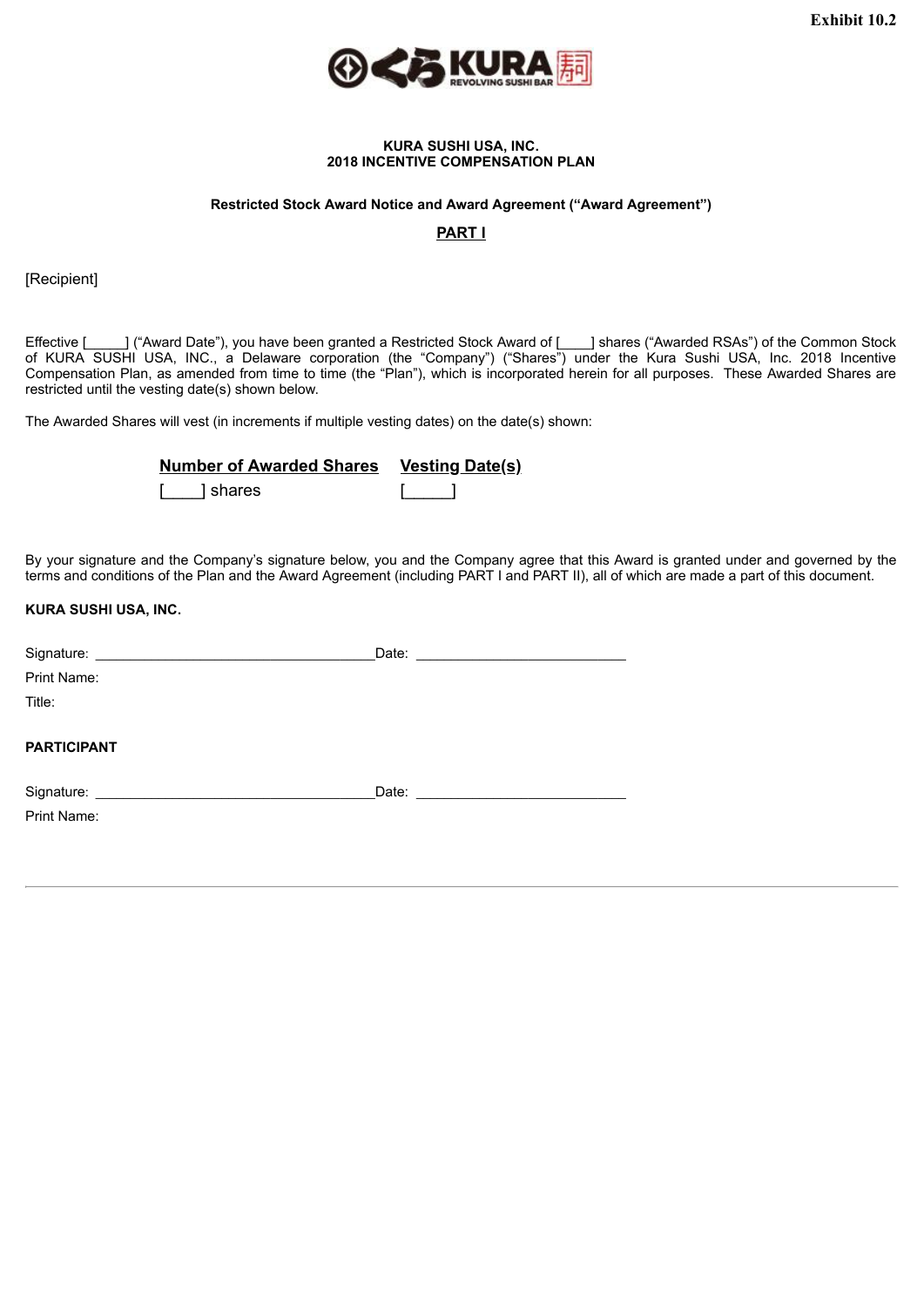

#### **KURA SUSHI USA, INC. 2018 INCENTIVE COMPENSATION PLAN**

#### <span id="page-21-0"></span>**Restricted Stock Award Notice and Award Agreement ("Award Agreement")**

**PART I**

[Recipient]

Effective [1000] ("Award Date"), you have been granted a Restricted Stock Award of [1000] shares ("Awarded RSAs") of the Common Stock of KURA SUSHI USA, INC., a Delaware corporation (the "Company") ("Shares") under the Kura Sushi USA, Inc. 2018 Incentive Compensation Plan, as amended from time to time (the "Plan"), which is incorporated herein for all purposes. These Awarded Shares are restricted until the vesting date(s) shown below.

The Awarded Shares will vest (in increments if multiple vesting dates) on the date(s) shown:

| Number of Awarded Shares Vesting Date(s) |  |
|------------------------------------------|--|
| shares                                   |  |

By your signature and the Company's signature below, you and the Company agree that this Award is granted under and governed by the terms and conditions of the Plan and the Award Agreement (including PART I and PART II), all of which are made a part of this document.

### **KURA SUSHI USA, INC.**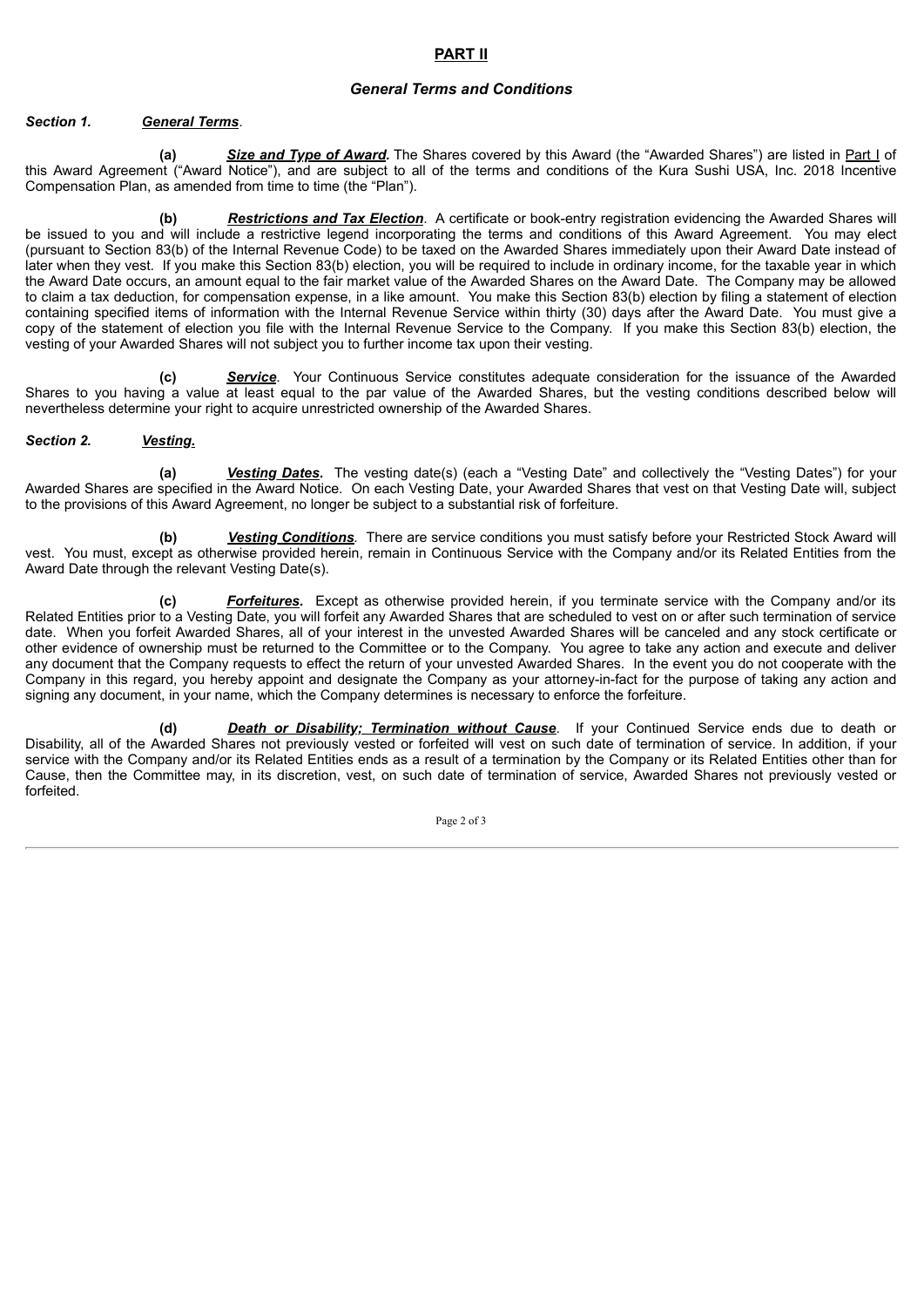### **PART II**

### *General Terms and Conditions*

#### *Section 1. General Terms*.

**(a)** *Size and Type of Award.* The Shares covered by this Award (the "Awarded Shares") are listed in Part I of this Award Agreement ("Award Notice"), and are subject to all of the terms and conditions of the Kura Sushi USA, Inc. 2018 Incentive Compensation Plan, as amended from time to time (the "Plan").

**(b)** *Restrictions and Tax Election*. A certificate or book-entry registration evidencing the Awarded Shares will be issued to you and will include a restrictive legend incorporating the terms and conditions of this Award Agreement. You may elect (pursuant to Section 83(b) of the Internal Revenue Code) to be taxed on the Awarded Shares immediately upon their Award Date instead of later when they vest. If you make this Section 83(b) election, you will be required to include in ordinary income, for the taxable year in which the Award Date occurs, an amount equal to the fair market value of the Awarded Shares on the Award Date. The Company may be allowed to claim a tax deduction, for compensation expense, in a like amount. You make this Section 83(b) election by filing a statement of election containing specified items of information with the Internal Revenue Service within thirty (30) days after the Award Date. You must give a copy of the statement of election you file with the Internal Revenue Service to the Company. If you make this Section 83(b) election, the vesting of your Awarded Shares will not subject you to further income tax upon their vesting.

**(c)** *Service*. Your Continuous Service constitutes adequate consideration for the issuance of the Awarded Shares to you having a value at least equal to the par value of the Awarded Shares, but the vesting conditions described below will nevertheless determine your right to acquire unrestricted ownership of the Awarded Shares.

#### *Section 2. Vesting.*

**(a)** *Vesting Dates.* The vesting date(s) (each a "Vesting Date" and collectively the "Vesting Dates") for your Awarded Shares are specified in the Award Notice. On each Vesting Date, your Awarded Shares that vest on that Vesting Date will, subject to the provisions of this Award Agreement, no longer be subject to a substantial risk of forfeiture.

**(b)** *Vesting Conditions.* There are service conditions you must satisfy before your Restricted Stock Award will vest. You must, except as otherwise provided herein, remain in Continuous Service with the Company and/or its Related Entities from the Award Date through the relevant Vesting Date(s).

**(c)** *Forfeitures.* Except as otherwise provided herein, if you terminate service with the Company and/or its Related Entities prior to a Vesting Date, you will forfeit any Awarded Shares that are scheduled to vest on or after such termination of service date. When you forfeit Awarded Shares, all of your interest in the unvested Awarded Shares will be canceled and any stock certificate or other evidence of ownership must be returned to the Committee or to the Company. You agree to take any action and execute and deliver any document that the Company requests to effect the return of your unvested Awarded Shares. In the event you do not cooperate with the Company in this regard, you hereby appoint and designate the Company as your attorney-in-fact for the purpose of taking any action and signing any document, in your name, which the Company determines is necessary to enforce the forfeiture.

**(d)** *Death or Disability; Termination without Cause*. If your Continued Service ends due to death or Disability, all of the Awarded Shares not previously vested or forfeited will vest on such date of termination of service. In addition, if your service with the Company and/or its Related Entities ends as a result of a termination by the Company or its Related Entities other than for Cause, then the Committee may, in its discretion, vest, on such date of termination of service, Awarded Shares not previously vested or forfeited.

Page 2 of 3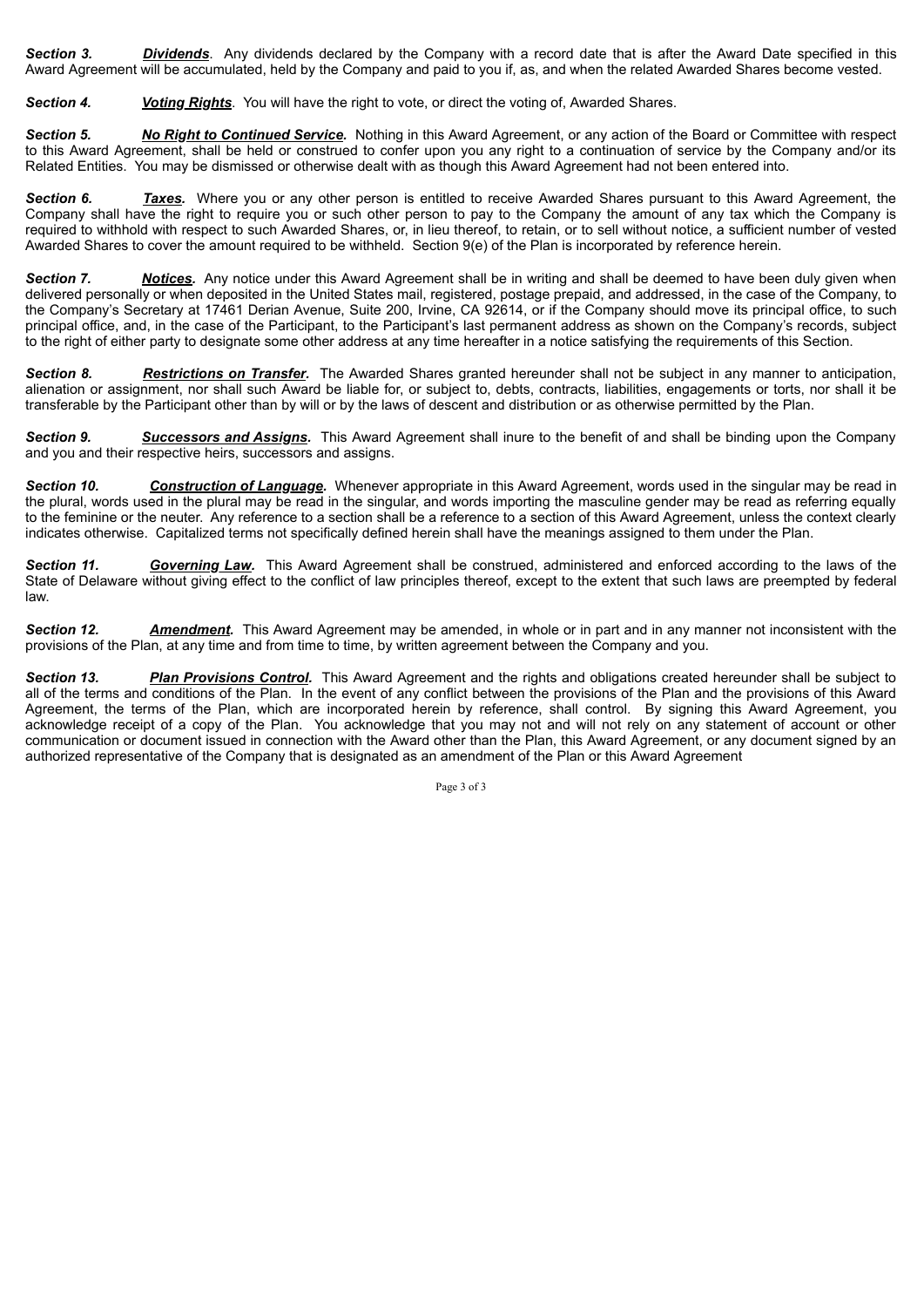*Section 3. Dividends*. Any dividends declared by the Company with a record date that is after the Award Date specified in this Award Agreement will be accumulated, held by the Company and paid to you if, as, and when the related Awarded Shares become vested.

**Section 4.** *Voting Rights*. You will have the right to vote, or direct the voting of, Awarded Shares.

*Section 5. No Right to Continued Service.* Nothing in this Award Agreement, or any action of the Board or Committee with respect to this Award Agreement, shall be held or construed to confer upon you any right to a continuation of service by the Company and/or its Related Entities. You may be dismissed or otherwise dealt with as though this Award Agreement had not been entered into.

*Section 6. Taxes.* Where you or any other person is entitled to receive Awarded Shares pursuant to this Award Agreement, the Company shall have the right to require you or such other person to pay to the Company the amount of any tax which the Company is required to withhold with respect to such Awarded Shares, or, in lieu thereof, to retain, or to sell without notice, a sufficient number of vested Awarded Shares to cover the amount required to be withheld. Section 9(e) of the Plan is incorporated by reference herein.

*Section 7. Notices.* Any notice under this Award Agreement shall be in writing and shall be deemed to have been duly given when delivered personally or when deposited in the United States mail, registered, postage prepaid, and addressed, in the case of the Company, to the Company's Secretary at 17461 Derian Avenue, Suite 200, Irvine, CA 92614, or if the Company should move its principal office, to such principal office, and, in the case of the Participant, to the Participant's last permanent address as shown on the Company's records, subject to the right of either party to designate some other address at any time hereafter in a notice satisfying the requirements of this Section.

*Section 8. Restrictions on Transfer.* The Awarded Shares granted hereunder shall not be subject in any manner to anticipation, alienation or assignment, nor shall such Award be liable for, or subject to, debts, contracts, liabilities, engagements or torts, nor shall it be transferable by the Participant other than by will or by the laws of descent and distribution or as otherwise permitted by the Plan.

*Section 9. Successors and Assigns.* This Award Agreement shall inure to the benefit of and shall be binding upon the Company and you and their respective heirs, successors and assigns.

*Section 10. Construction of Language.* Whenever appropriate in this Award Agreement, words used in the singular may be read in the plural, words used in the plural may be read in the singular, and words importing the masculine gender may be read as referring equally to the feminine or the neuter. Any reference to a section shall be a reference to a section of this Award Agreement, unless the context clearly indicates otherwise. Capitalized terms not specifically defined herein shall have the meanings assigned to them under the Plan.

**Section 11.** Governing Law. This Award Agreement shall be construed, administered and enforced according to the laws of the State of Delaware without giving effect to the conflict of law principles thereof, except to the extent that such laws are preempted by federal law.

*Section 12. Amendment.* This Award Agreement may be amended, in whole or in part and in any manner not inconsistent with the provisions of the Plan, at any time and from time to time, by written agreement between the Company and you.

*Section 13. Plan Provisions Control.* This Award Agreement and the rights and obligations created hereunder shall be subject to all of the terms and conditions of the Plan. In the event of any conflict between the provisions of the Plan and the provisions of this Award Agreement, the terms of the Plan, which are incorporated herein by reference, shall control. By signing this Award Agreement, you acknowledge receipt of a copy of the Plan. You acknowledge that you may not and will not rely on any statement of account or other communication or document issued in connection with the Award other than the Plan, this Award Agreement, or any document signed by an authorized representative of the Company that is designated as an amendment of the Plan or this Award Agreement

Page 3 of 3